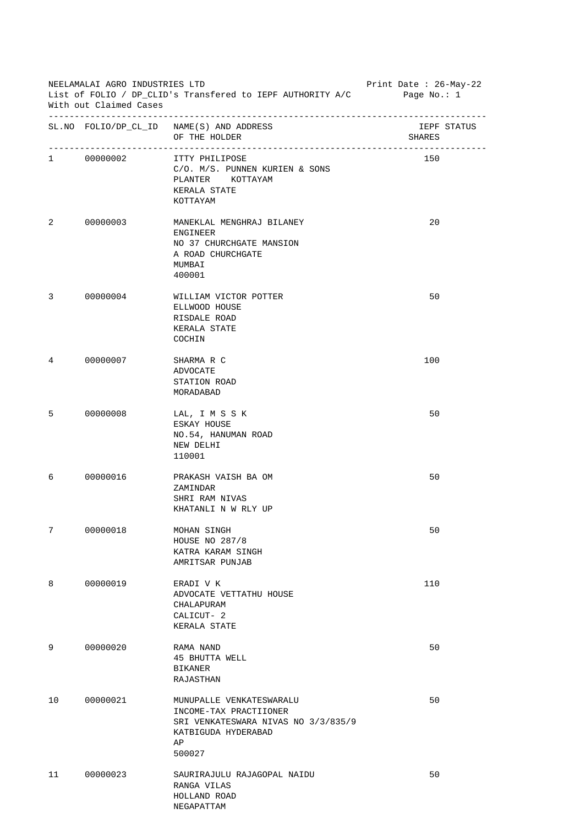|    | NEELAMALAI AGRO INDUSTRIES LTD<br>List of FOLIO / DP_CLID's Transfered to IEPF AUTHORITY A/C<br>With out Claimed Cases | Print Date : 26-May-22<br>Page No.: 1                                                                                            |                       |  |
|----|------------------------------------------------------------------------------------------------------------------------|----------------------------------------------------------------------------------------------------------------------------------|-----------------------|--|
|    |                                                                                                                        | $\verb SL.NO FOLIO/DP_CL_ID NAME(S) AND ADDRESS  \\$<br>OF THE HOLDER                                                            | IEPF STATUS<br>SHARES |  |
|    | 1 00000002                                                                                                             | ITTY PHILIPOSE<br>C/O. M/S. PUNNEN KURIEN & SONS<br>PLANTER KOTTAYAM<br>KERALA STATE<br>KOTTAYAM                                 | 150                   |  |
| 2  | 00000003                                                                                                               | MANEKLAL MENGHRAJ BILANEY<br>ENGINEER<br>NO 37 CHURCHGATE MANSION<br>A ROAD CHURCHGATE<br>MUMBAI<br>400001                       | 20                    |  |
| 3  | 00000004                                                                                                               | WILLIAM VICTOR POTTER<br>ELLWOOD HOUSE<br>RISDALE ROAD<br>KERALA STATE<br>COCHIN                                                 | 50                    |  |
| 4  | 00000007                                                                                                               | SHARMA R C<br>ADVOCATE<br>STATION ROAD<br>MORADABAD                                                                              | 100                   |  |
| 5  | 00000008                                                                                                               | LAL, I M S S K<br>ESKAY HOUSE<br>NO.54, HANUMAN ROAD<br>NEW DELHI<br>110001                                                      | 50                    |  |
| 6  | 00000016                                                                                                               | PRAKASH VAISH BA OM<br>ZAMINDAR<br>SHRI RAM NIVAS<br>KHATANLI N W RLY UP                                                         | 50                    |  |
| 7  | 00000018                                                                                                               | MOHAN SINGH<br><b>HOUSE NO 287/8</b><br>KATRA KARAM SINGH<br>AMRITSAR PUNJAB                                                     | 50                    |  |
| 8  | 00000019                                                                                                               | ERADI V K<br>ADVOCATE VETTATHU HOUSE<br>CHALAPURAM<br>CALICUT- 2<br>KERALA STATE                                                 | 110                   |  |
| 9  | 00000020                                                                                                               | RAMA NAND<br>45 BHUTTA WELL<br><b>BIKANER</b><br>RAJASTHAN                                                                       | 50                    |  |
| 10 | 00000021                                                                                                               | MUNUPALLE VENKATESWARALU<br>INCOME-TAX PRACTIIONER<br>SRI VENKATESWARA NIVAS NO 3/3/835/9<br>KATBIGUDA HYDERABAD<br>AP<br>500027 | 50                    |  |
| 11 | 00000023                                                                                                               | SAURIRAJULU RAJAGOPAL NAIDU<br>RANGA VILAS<br>HOLLAND ROAD<br>NEGAPATTAM                                                         | 50                    |  |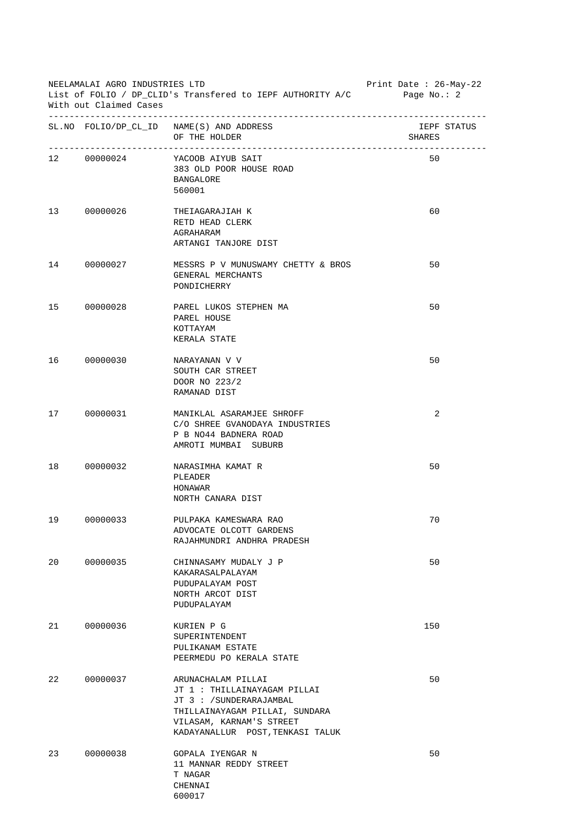| NEELAMALAI AGRO INDUSTRIES LTD<br>List of FOLIO / DP_CLID's Transfered to IEPF AUTHORITY A/C<br>With out Claimed Cases |             |                                                                                                                                                                                 | Print Date : $26-May-22$<br>Page No.: 2 |
|------------------------------------------------------------------------------------------------------------------------|-------------|---------------------------------------------------------------------------------------------------------------------------------------------------------------------------------|-----------------------------------------|
|                                                                                                                        |             | $\verb SL.NO FOLIO/DP_CL_ID NAME(S) AND ADDRESS  \\$<br>OF THE HOLDER                                                                                                           | IEPF STATUS<br>SHARES                   |
|                                                                                                                        | 12 00000024 | YACOOB AIYUB SAIT<br>383 OLD POOR HOUSE ROAD<br><b>BANGALORE</b><br>560001                                                                                                      | 50                                      |
| 13                                                                                                                     | 00000026    | THEIAGARAJIAH K<br>RETD HEAD CLERK<br>AGRAHARAM<br>ARTANGI TANJORE DIST                                                                                                         | 60                                      |
|                                                                                                                        | 00000027    | MESSRS P V MUNUSWAMY CHETTY & BROS<br>GENERAL MERCHANTS<br>PONDICHERRY                                                                                                          | 50                                      |
| 15                                                                                                                     | 00000028    | PAREL LUKOS STEPHEN MA<br>PAREL HOUSE<br>KOTTAYAM<br>KERALA STATE                                                                                                               | 50                                      |
| 16                                                                                                                     | 00000030    | NARAYANAN V V<br>SOUTH CAR STREET<br>DOOR NO 223/2<br>RAMANAD DIST                                                                                                              | 50                                      |
| 17                                                                                                                     | 00000031    | MANIKLAL ASARAMJEE SHROFF<br>C/O SHREE GVANODAYA INDUSTRIES<br>P B NO44 BADNERA ROAD<br>AMROTI MUMBAI SUBURB                                                                    | 2                                       |
| 18                                                                                                                     | 00000032    | NARASIMHA KAMAT R<br>PLEADER<br>HONAWAR<br>NORTH CANARA DIST                                                                                                                    | 50                                      |
| 19                                                                                                                     | 00000033    | PULPAKA KAMESWARA RAO<br>ADVOCATE OLCOTT GARDENS<br>RAJAHMUNDRI ANDHRA PRADESH                                                                                                  | 70                                      |
| 20                                                                                                                     | 00000035    | CHINNASAMY MUDALY J P<br>KAKARASALPALAYAM<br>PUDUPALAYAM POST<br>NORTH ARCOT DIST<br>PUDUPALAYAM                                                                                | 50                                      |
| 21                                                                                                                     | 00000036    | KURIEN P G<br>SUPERINTENDENT<br>PULIKANAM ESTATE<br>PEERMEDU PO KERALA STATE                                                                                                    | 150                                     |
| 22                                                                                                                     | 00000037    | ARUNACHALAM PILLAI<br>JT 1 : THILLAINAYAGAM PILLAI<br>JT 3 : /SUNDERARAJAMBAL<br>THILLAINAYAGAM PILLAI, SUNDARA<br>VILASAM, KARNAM'S STREET<br>KADAYANALLUR POST, TENKASI TALUK | 50                                      |
| 23                                                                                                                     | 00000038    | GOPALA IYENGAR N<br>11 MANNAR REDDY STREET<br>T NAGAR<br>CHENNAI<br>600017                                                                                                      | 50                                      |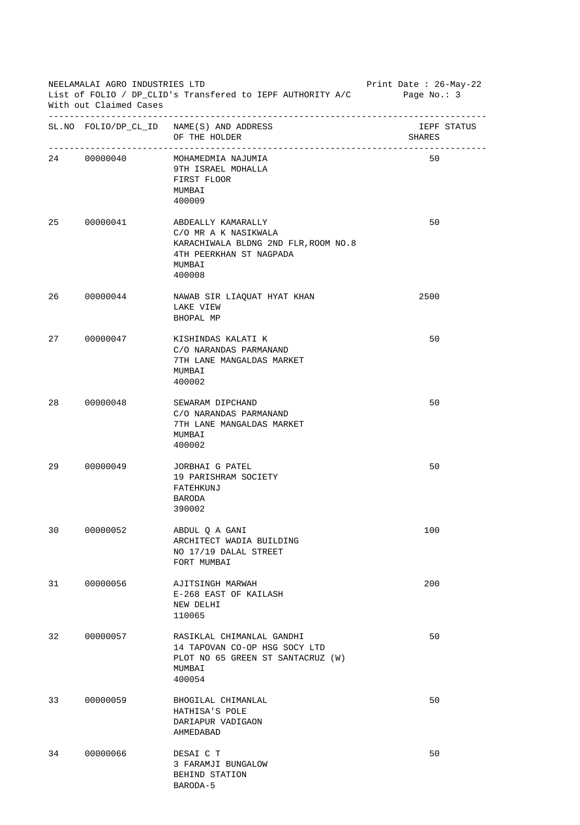| NEELAMALAI AGRO INDUSTRIES LTD<br>List of FOLIO / DP_CLID's Transfered to IEPF AUTHORITY A/C<br>With out Claimed Cases |             |                                                                                                                                   | Print Date: 26-May-22<br>Page No.: 3 |  |
|------------------------------------------------------------------------------------------------------------------------|-------------|-----------------------------------------------------------------------------------------------------------------------------------|--------------------------------------|--|
|                                                                                                                        |             | SL. NO FOLIO/DP_CL_ID NAME(S) AND ADDRESS<br>OF THE HOLDER                                                                        | IEPF STATUS<br>SHARES                |  |
|                                                                                                                        | 24 00000040 | MOHAMEDMIA NAJUMIA<br>9TH ISRAEL MOHALLA<br>FIRST FLOOR<br>MUMBAI<br>400009                                                       | 50                                   |  |
| 25                                                                                                                     | 00000041    | ABDEALLY KAMARALLY<br>C/O MR A K NASIKWALA<br>KARACHIWALA BLDNG 2ND FLR, ROOM NO.8<br>4TH PEERKHAN ST NAGPADA<br>MUMBAI<br>400008 | 50                                   |  |
| 26                                                                                                                     | 00000044    | NAWAB SIR LIAQUAT HYAT KHAN<br>LAKE VIEW<br>BHOPAL MP                                                                             | 2500                                 |  |
| 27                                                                                                                     | 00000047    | KISHINDAS KALATI K<br>C/O NARANDAS PARMANAND<br>7TH LANE MANGALDAS MARKET<br>MUMBAI<br>400002                                     | 50                                   |  |
| 28                                                                                                                     | 00000048    | SEWARAM DIPCHAND<br>C/O NARANDAS PARMANAND<br>7TH LANE MANGALDAS MARKET<br>MUMBAI<br>400002                                       | 50                                   |  |
| 29                                                                                                                     | 00000049    | JORBHAI G PATEL<br>19 PARISHRAM SOCIETY<br>FATEHKUNJ<br><b>BARODA</b><br>390002                                                   | 50                                   |  |
| 30                                                                                                                     | 00000052    | ABDUL Q A GANI<br>ARCHITECT WADIA BUILDING<br>NO 17/19 DALAL STREET<br>FORT MUMBAI                                                | 100                                  |  |
| 31                                                                                                                     | 00000056    | AJITSINGH MARWAH<br>E-268 EAST OF KAILASH<br>NEW DELHI<br>110065                                                                  | 200                                  |  |
| 32                                                                                                                     | 00000057    | RASIKLAL CHIMANLAL GANDHI<br>14 TAPOVAN CO-OP HSG SOCY LTD<br>PLOT NO 65 GREEN ST SANTACRUZ (W)<br>MUMBAI<br>400054               | 50                                   |  |
| 33                                                                                                                     | 00000059    | BHOGILAL CHIMANLAL<br>HATHISA'S POLE<br>DARIAPUR VADIGAON<br>AHMEDABAD                                                            | 50                                   |  |
| 34                                                                                                                     | 00000066    | DESAI C T<br>3 FARAMJI BUNGALOW<br>BEHIND STATION<br>BARODA-5                                                                     | 50                                   |  |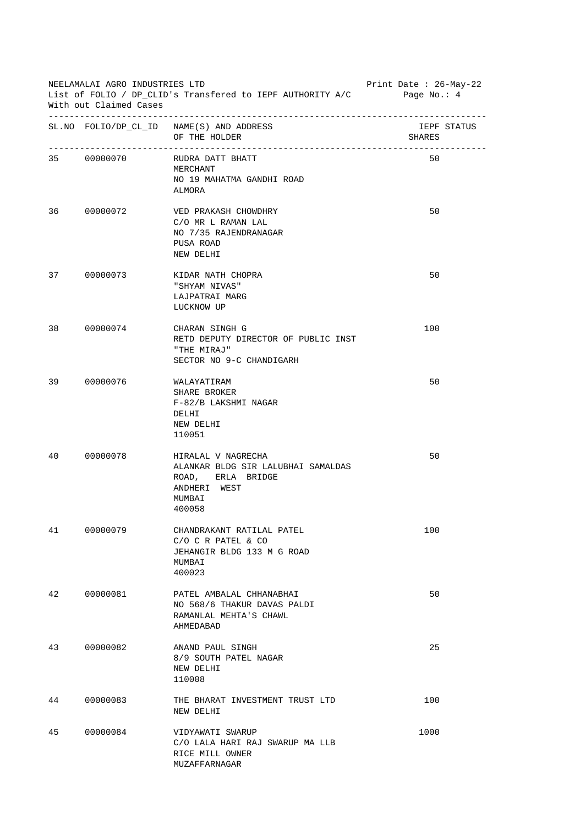| NEELAMALAI AGRO INDUSTRIES LTD<br>List of FOLIO / DP_CLID's Transfered to IEPF AUTHORITY A/C<br>With out Claimed Cases |             |                                                                                                                   | Print Date : $26$ -May-22<br>Page No.: $4$ |             |
|------------------------------------------------------------------------------------------------------------------------|-------------|-------------------------------------------------------------------------------------------------------------------|--------------------------------------------|-------------|
|                                                                                                                        |             | SL. NO FOLIO/DP_CL_ID NAME(S) AND ADDRESS<br>OF THE HOLDER                                                        | SHARES                                     | IEPF STATUS |
|                                                                                                                        | 35 00000070 | RUDRA DATT BHATT<br>MERCHANT<br>NO 19 MAHATMA GANDHI ROAD<br><b>ALMORA</b>                                        | 50                                         |             |
|                                                                                                                        | 36 00000072 | VED PRAKASH CHOWDHRY<br>C/O MR L RAMAN LAL<br>NO 7/35 RAJENDRANAGAR<br>PUSA ROAD<br>NEW DELHI                     | 50                                         |             |
| 37 —                                                                                                                   | 00000073    | KIDAR NATH CHOPRA<br>"SHYAM NIVAS"<br>LAJPATRAI MARG<br>LUCKNOW UP                                                | 50                                         |             |
| 38                                                                                                                     | 00000074    | CHARAN SINGH G<br>RETD DEPUTY DIRECTOR OF PUBLIC INST<br>"THE MIRAJ"<br>SECTOR NO 9-C CHANDIGARH                  | 100                                        |             |
| 39                                                                                                                     | 00000076    | WALAYATIRAM<br>SHARE BROKER<br>F-82/B LAKSHMI NAGAR<br>DELHI<br>NEW DELHI<br>110051                               | 50                                         |             |
| 40                                                                                                                     | 00000078    | HIRALAL V NAGRECHA<br>ALANKAR BLDG SIR LALUBHAI SAMALDAS<br>ROAD, ERLA BRIDGE<br>ANDHERI WEST<br>MUMBAI<br>400058 | 50                                         |             |
| 41                                                                                                                     | 00000079    | CHANDRAKANT RATILAL PATEL<br>$C/O$ $C$ R PATEL & $CO$<br>JEHANGIR BLDG 133 M G ROAD<br>MUMBAI<br>400023           | 100                                        |             |
| 42                                                                                                                     | 00000081    | PATEL AMBALAL CHHANABHAI<br>NO 568/6 THAKUR DAVAS PALDI<br>RAMANLAL MEHTA'S CHAWL<br>AHMEDABAD                    | 50                                         |             |
| 43                                                                                                                     | 00000082    | ANAND PAUL SINGH<br>8/9 SOUTH PATEL NAGAR<br>NEW DELHI<br>110008                                                  | 25                                         |             |
| 44                                                                                                                     | 00000083    | THE BHARAT INVESTMENT TRUST LTD<br>NEW DELHI                                                                      | 100                                        |             |
| 45                                                                                                                     | 00000084    | VIDYAWATI SWARUP<br>C/O LALA HARI RAJ SWARUP MA LLB<br>RICE MILL OWNER<br>MUZAFFARNAGAR                           | 1000                                       |             |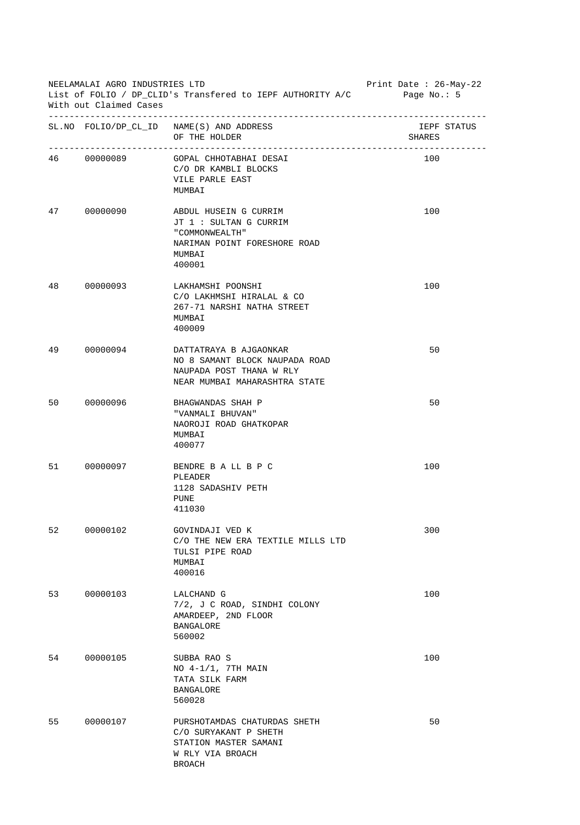| NEELAMALAI AGRO INDUSTRIES LTD<br>List of FOLIO / DP_CLID's Transfered to IEPF AUTHORITY A/C<br>With out Claimed Cases |             |                                                                                                                        | Print Date : $26$ -May-22<br>Page No.: 5 |
|------------------------------------------------------------------------------------------------------------------------|-------------|------------------------------------------------------------------------------------------------------------------------|------------------------------------------|
|                                                                                                                        |             | SL. NO FOLIO/DP_CL_ID NAME(S) AND ADDRESS<br>OF THE HOLDER                                                             | IEPF STATUS<br>SHARES                    |
|                                                                                                                        | 46 00000089 | GOPAL CHHOTABHAI DESAI<br>C/O DR KAMBLI BLOCKS<br>VILE PARLE EAST<br>MUMBAI                                            | 100                                      |
| 47                                                                                                                     | 00000090    | ABDUL HUSEIN G CURRIM<br>JT 1 : SULTAN G CURRIM<br>" COMMONWEALTH"<br>NARIMAN POINT FORESHORE ROAD<br>MUMBAI<br>400001 | 100                                      |
| 48                                                                                                                     | 00000093    | LAKHAMSHI POONSHI<br>C/O LAKHMSHI HIRALAL & CO<br>267-71 NARSHI NATHA STREET<br>MUMBAI<br>400009                       | 100                                      |
| 49                                                                                                                     | 00000094    | DATTATRAYA B AJGAONKAR<br>NO 8 SAMANT BLOCK NAUPADA ROAD<br>NAUPADA POST THANA W RLY<br>NEAR MUMBAI MAHARASHTRA STATE  | 50                                       |
| 50                                                                                                                     | 00000096    | BHAGWANDAS SHAH P<br>"VANMALI BHUVAN"<br>NAOROJI ROAD GHATKOPAR<br>MUMBAI<br>400077                                    | 50                                       |
| 51 7                                                                                                                   | 00000097    | BENDRE B A LL B P C<br>PLEADER<br>1128 SADASHIV PETH<br><b>PUNE</b><br>411030                                          | 100                                      |
| 52                                                                                                                     | 00000102    | GOVINDAJI VED K<br>C/O THE NEW ERA TEXTILE MILLS LTD<br>TULSI PIPE ROAD<br>MUMBAI<br>400016                            | 300                                      |
| 53                                                                                                                     | 00000103    | LALCHAND G<br>7/2, J C ROAD, SINDHI COLONY<br>AMARDEEP, 2ND FLOOR<br>BANGALORE<br>560002                               | 100                                      |
| 54                                                                                                                     | 00000105    | SUBBA RAO S<br>NO $4-1/1$ , 7TH MAIN<br>TATA SILK FARM<br><b>BANGALORE</b><br>560028                                   | 100                                      |
| 55                                                                                                                     | 00000107    | PURSHOTAMDAS CHATURDAS SHETH<br>C/O SURYAKANT P SHETH<br>STATION MASTER SAMANI<br>W RLY VIA BROACH<br>BROACH           | 50                                       |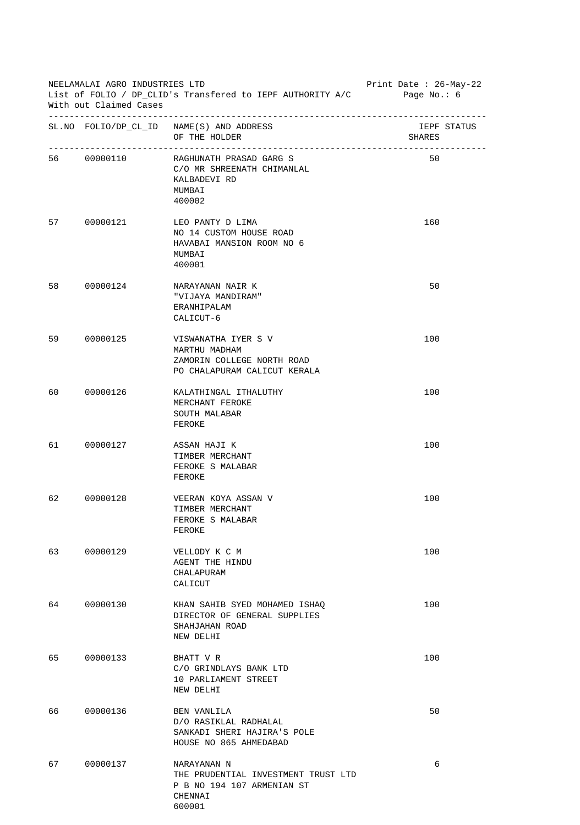|         | NEELAMALAI AGRO INDUSTRIES LTD<br>With out Claimed Cases | Print Date : $26$ -May-22<br>List of FOLIO / DP_CLID's Transfered to IEPF AUTHORITY A/C Page No.: 6   |                       |
|---------|----------------------------------------------------------|-------------------------------------------------------------------------------------------------------|-----------------------|
|         |                                                          | SL. NO FOLIO/DP_CL_ID NAME(S) AND ADDRESS<br>OF THE HOLDER                                            | IEPF STATUS<br>SHARES |
|         | 56 00000110                                              | RAGHUNATH PRASAD GARG S<br>C/O MR SHREENATH CHIMANLAL<br>KALBADEVI RD<br>MUMBAI<br>400002             | 50                    |
| 57 — 17 | 00000121                                                 | LEO PANTY D LIMA<br>NO 14 CUSTOM HOUSE ROAD<br>HAVABAI MANSION ROOM NO 6<br>MUMBAI<br>400001          | 160                   |
| 58      | 00000124                                                 | NARAYANAN NAIR K<br>"VIJAYA MANDIRAM"<br>ERANHIPALAM<br>CALICUT-6                                     | 50                    |
| 59      | 00000125                                                 | VISWANATHA IYER S V<br>MARTHU MADHAM<br>ZAMORIN COLLEGE NORTH ROAD<br>PO CHALAPURAM CALICUT KERALA    | 100                   |
| 60      | 00000126                                                 | KALATHINGAL ITHALUTHY<br>MERCHANT FEROKE<br>SOUTH MALABAR<br>FEROKE                                   | 100                   |
| 61 — 10 | 00000127                                                 | ASSAN HAJI K<br>TIMBER MERCHANT<br>FEROKE S MALABAR<br>FEROKE                                         | 100                   |
| 62      | 00000128                                                 | VEERAN KOYA ASSAN V<br>TIMBER MERCHANT<br>FEROKE S MALABAR<br>FEROKE                                  | 100                   |
| 63      | 00000129                                                 | VELLODY K C M<br>AGENT THE HINDU<br>CHALAPURAM<br>CALICUT                                             | 100                   |
| 64      | 00000130                                                 | KHAN SAHIB SYED MOHAMED ISHAO<br>DIRECTOR OF GENERAL SUPPLIES<br>SHAHJAHAN ROAD<br>NEW DELHI          | 100                   |
| 65      | 00000133                                                 | BHATT V R<br>C/O GRINDLAYS BANK LTD<br>10 PARLIAMENT STREET<br>NEW DELHI                              | 100                   |
| 66      | 00000136                                                 | BEN VANLILA<br>D/O RASIKLAL RADHALAL<br>SANKADI SHERI HAJIRA'S POLE<br>HOUSE NO 865 AHMEDABAD         | 50                    |
| 67      | 00000137                                                 | NARAYANAN N<br>THE PRUDENTIAL INVESTMENT TRUST LTD<br>P B NO 194 107 ARMENIAN ST<br>CHENNAI<br>600001 | 6                     |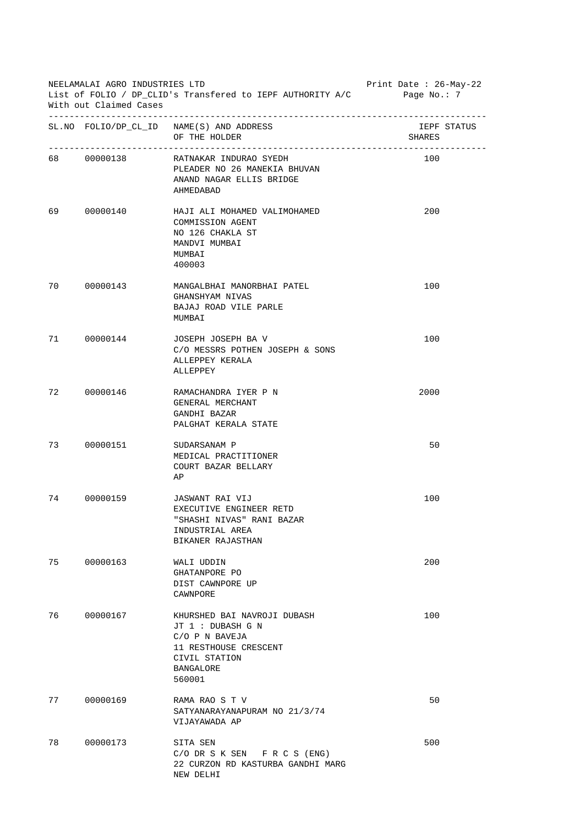| NEELAMALAI AGRO INDUSTRIES LTD<br>List of FOLIO / DP_CLID's Transfered to IEPF AUTHORITY A/C<br>With out Claimed Cases |             |                                                                                                                                            | Print Date : 26-May-22<br>Page No.: $7$ |             |
|------------------------------------------------------------------------------------------------------------------------|-------------|--------------------------------------------------------------------------------------------------------------------------------------------|-----------------------------------------|-------------|
|                                                                                                                        |             | SL. NO FOLIO/DP_CL_ID NAME(S) AND ADDRESS<br>OF THE HOLDER                                                                                 | SHARES                                  | IEPF STATUS |
|                                                                                                                        | 68 00000138 | RATNAKAR INDURAO SYEDH<br>PLEADER NO 26 MANEKIA BHUVAN<br>ANAND NAGAR ELLIS BRIDGE<br>AHMEDABAD                                            | 100                                     |             |
| 69                                                                                                                     | 00000140    | HAJI ALI MOHAMED VALIMOHAMED<br>COMMISSION AGENT<br>NO 126 CHAKLA ST<br>MANDVI MUMBAI<br>MUMBAI<br>400003                                  | 200                                     |             |
| 70                                                                                                                     | 00000143    | MANGALBHAI MANORBHAI PATEL<br>GHANSHYAM NIVAS<br>BAJAJ ROAD VILE PARLE<br>MUMBAI                                                           | 100                                     |             |
|                                                                                                                        | 71 00000144 | JOSEPH JOSEPH BA V<br>C/O MESSRS POTHEN JOSEPH & SONS<br>ALLEPPEY KERALA<br>ALLEPPEY                                                       | 100                                     |             |
| 72 —                                                                                                                   | 00000146    | RAMACHANDRA IYER P N<br>GENERAL MERCHANT<br>GANDHI BAZAR<br>PALGHAT KERALA STATE                                                           | 2000                                    |             |
|                                                                                                                        | 73 00000151 | SUDARSANAM P<br>MEDICAL PRACTITIONER<br>COURT BAZAR BELLARY<br>ΑP                                                                          | 50                                      |             |
| 74                                                                                                                     | 00000159    | JASWANT RAI VIJ<br>EXECUTIVE ENGINEER RETD<br>"SHASHI NIVAS" RANI BAZAR<br>INDUSTRIAL AREA<br>BIKANER RAJASTHAN                            | 100                                     |             |
| 75                                                                                                                     | 00000163    | WALI UDDIN<br>GHATANPORE PO<br>DIST CAWNPORE UP<br>CAWNPORE                                                                                | 200                                     |             |
| 76                                                                                                                     | 00000167    | KHURSHED BAI NAVROJI DUBASH<br>JT 1 : DUBASH G N<br>C/O P N BAVEJA<br>11 RESTHOUSE CRESCENT<br>CIVIL STATION<br><b>BANGALORE</b><br>560001 | 100                                     |             |
| 77                                                                                                                     | 00000169    | RAMA RAO S T V<br>SATYANARAYANAPURAM NO 21/3/74<br>VIJAYAWADA AP                                                                           | 50                                      |             |
| 78                                                                                                                     | 00000173    | SITA SEN<br>$C/O$ DR S K SEN F R C S (ENG)<br>22 CURZON RD KASTURBA GANDHI MARG<br>NEW DELHI                                               | 500                                     |             |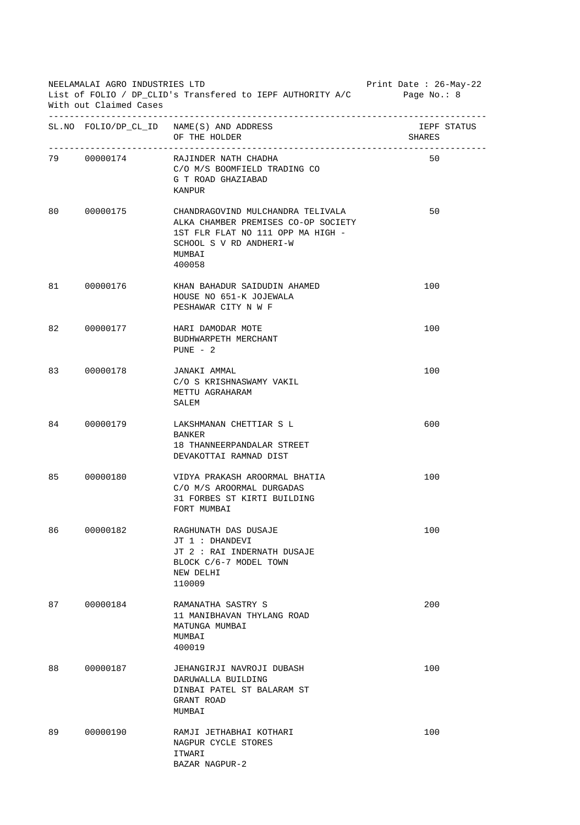| NEELAMALAI AGRO INDUSTRIES LTD<br>List of FOLIO / DP_CLID's Transfered to IEPF AUTHORITY A/C<br>With out Claimed Cases |             |                                                                                                                                                              | Print Date: 26-May-22<br>Page $No. : 8$ |
|------------------------------------------------------------------------------------------------------------------------|-------------|--------------------------------------------------------------------------------------------------------------------------------------------------------------|-----------------------------------------|
|                                                                                                                        |             | SL. NO FOLIO/DP_CL_ID NAME(S) AND ADDRESS<br>OF THE HOLDER                                                                                                   | IEPF STATUS<br>SHARES                   |
|                                                                                                                        | 79 00000174 | RAJINDER NATH CHADHA<br>C/O M/S BOOMFIELD TRADING CO<br>G T ROAD GHAZIABAD<br>KANPUR                                                                         | 50                                      |
| 80                                                                                                                     | 00000175    | CHANDRAGOVIND MULCHANDRA TELIVALA<br>ALKA CHAMBER PREMISES CO-OP SOCIETY<br>1ST FLR FLAT NO 111 OPP MA HIGH -<br>SCHOOL S V RD ANDHERI-W<br>MUMBAI<br>400058 | 50                                      |
| 81 — 10                                                                                                                | 00000176    | KHAN BAHADUR SAIDUDIN AHAMED<br>HOUSE NO 651-K JOJEWALA<br>PESHAWAR CITY N W F                                                                               | 100                                     |
| 82                                                                                                                     | 00000177    | HARI DAMODAR MOTE<br>BUDHWARPETH MERCHANT<br>$PUNE - 2$                                                                                                      | 100                                     |
| 83                                                                                                                     | 00000178    | JANAKI AMMAL<br>C/O S KRISHNASWAMY VAKIL<br>METTU AGRAHARAM<br>SALEM                                                                                         | 100                                     |
| 84                                                                                                                     | 00000179    | LAKSHMANAN CHETTIAR S L<br>BANKER<br>18 THANNEERPANDALAR STREET<br>DEVAKOTTAI RAMNAD DIST                                                                    | 600                                     |
| 85                                                                                                                     | 00000180    | VIDYA PRAKASH AROORMAL BHATIA<br>C/O M/S AROORMAL DURGADAS<br>31 FORBES ST KIRTI BUILDING<br>FORT MUMBAI                                                     | 100                                     |
| 86                                                                                                                     | 00000182    | RAGHUNATH DAS DUSAJE<br>JT 1 : DHANDEVI<br>JT 2 : RAI INDERNATH DUSAJE<br>BLOCK C/6-7 MODEL TOWN<br>NEW DELHI<br>110009                                      | 100                                     |
| 87                                                                                                                     | 00000184    | RAMANATHA SASTRY S<br>11 MANIBHAVAN THYLANG ROAD<br>MATUNGA MUMBAI<br>MUMBAI<br>400019                                                                       | 200                                     |
| 88                                                                                                                     | 00000187    | JEHANGIRJI NAVROJI DUBASH<br>DARUWALLA BUILDING<br>DINBAI PATEL ST BALARAM ST<br>GRANT ROAD<br>MUMBAI                                                        | 100                                     |
| 89                                                                                                                     | 00000190    | RAMJI JETHABHAI KOTHARI<br>NAGPUR CYCLE STORES<br>ITWARI<br>BAZAR NAGPUR-2                                                                                   | 100                                     |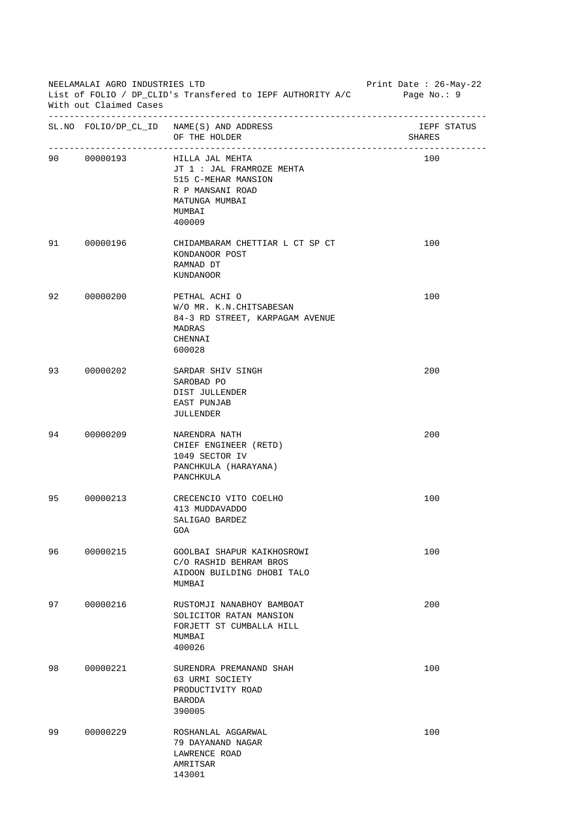| NEELAMALAI AGRO INDUSTRIES LTD<br>List of FOLIO / DP_CLID's Transfered to IEPF AUTHORITY A/C Page No.: 9<br>With out Claimed Cases |          |                                                                                                                                           | Print Date : 26-May-22 |
|------------------------------------------------------------------------------------------------------------------------------------|----------|-------------------------------------------------------------------------------------------------------------------------------------------|------------------------|
|                                                                                                                                    |          | SL. NO FOLIO/DP_CL_ID NAME(S) AND ADDRESS<br>OF THE HOLDER                                                                                | IEPF STATUS<br>SHARES  |
|                                                                                                                                    |          | 90 00000193 HILLA JAL MEHTA<br>JT 1 : JAL FRAMROZE MEHTA<br>515 C-MEHAR MANSION<br>R P MANSANI ROAD<br>MATUNGA MUMBAI<br>MUMBAI<br>400009 | 100                    |
| 91                                                                                                                                 | 00000196 | CHIDAMBARAM CHETTIAR L CT SP CT<br>KONDANOOR POST<br>RAMNAD DT<br>KUNDANOOR                                                               | 100                    |
| 92                                                                                                                                 | 00000200 | PETHAL ACHI O<br>W/O MR. K.N. CHITSABESAN<br>84-3 RD STREET, KARPAGAM AVENUE<br>MADRAS<br>CHENNAI<br>600028                               | 100                    |
| 93                                                                                                                                 | 00000202 | SARDAR SHIV SINGH<br>SAROBAD PO<br>DIST JULLENDER<br>EAST PUNJAB<br>JULLENDER                                                             | 200                    |
| 94                                                                                                                                 | 00000209 | NARENDRA NATH<br>CHIEF ENGINEER (RETD)<br>1049 SECTOR IV<br>PANCHKULA (HARAYANA)<br>PANCHKULA                                             | 200                    |
| 95                                                                                                                                 | 00000213 | CRECENCIO VITO COELHO<br>413 MUDDAVADDO<br>SALIGAO BARDEZ<br>GOA                                                                          | 100                    |
| 96                                                                                                                                 | 00000215 | GOOLBAI SHAPUR KAIKHOSROWI<br>C/O RASHID BEHRAM BROS<br>AIDOON BUILDING DHOBI TALO<br>MUMBAI                                              | 100                    |
| 97                                                                                                                                 | 00000216 | RUSTOMJI NANABHOY BAMBOAT<br>SOLICITOR RATAN MANSION<br>FORJETT ST CUMBALLA HILL<br>MUMBAI<br>400026                                      | 200                    |
| 98                                                                                                                                 | 00000221 | SURENDRA PREMANAND SHAH<br>63 URMI SOCIETY<br>PRODUCTIVITY ROAD<br><b>BARODA</b><br>390005                                                | 100                    |
| 99                                                                                                                                 | 00000229 | ROSHANLAL AGGARWAL<br>79 DAYANAND NAGAR<br>LAWRENCE ROAD<br>AMRITSAR<br>143001                                                            | 100                    |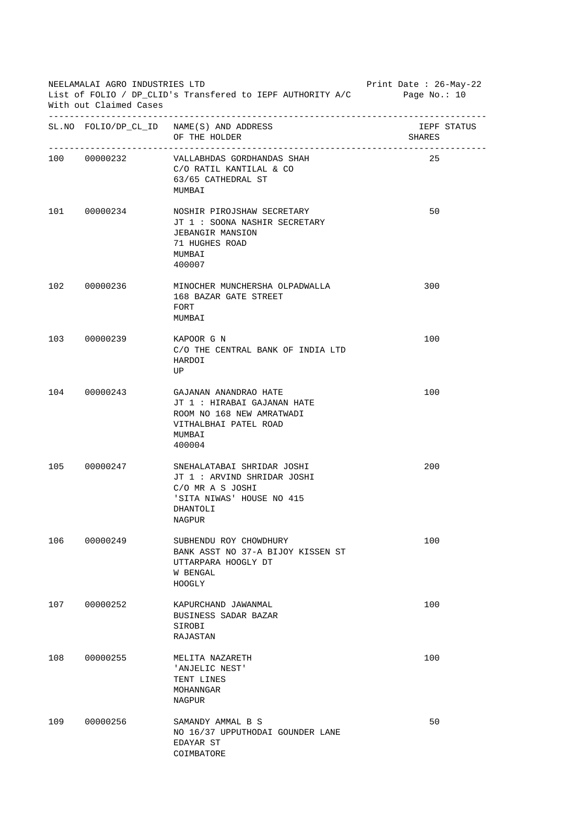| NEELAMALAI AGRO INDUSTRIES LTD<br>List of FOLIO / DP_CLID's Transfered to IEPF AUTHORITY A/C Page No.: 10<br>With out Claimed Cases |              |                                                                                                                                  | Print Date : 26-May-22 |
|-------------------------------------------------------------------------------------------------------------------------------------|--------------|----------------------------------------------------------------------------------------------------------------------------------|------------------------|
|                                                                                                                                     |              | SL. NO FOLIO/DP_CL_ID NAME(S) AND ADDRESS<br>OF THE HOLDER                                                                       | IEPF STATUS<br>SHARES  |
|                                                                                                                                     | 100 00000232 | VALLABHDAS GORDHANDAS SHAH<br>C/O RATIL KANTILAL & CO<br>63/65 CATHEDRAL ST<br>MUMBAI                                            | 25                     |
|                                                                                                                                     | 101 00000234 | NOSHIR PIROJSHAW SECRETARY<br>JT 1 : SOONA NASHIR SECRETARY<br><b>JEBANGIR MANSION</b><br>71 HUGHES ROAD<br>MUMBAI<br>400007     | 50                     |
|                                                                                                                                     | 102 00000236 | MINOCHER MUNCHERSHA OLPADWALLA<br>168 BAZAR GATE STREET<br>FORT<br>MUMBAI                                                        | 300                    |
|                                                                                                                                     | 103 00000239 | KAPOOR G N<br>C/O THE CENTRAL BANK OF INDIA LTD<br>HARDOI<br>UP                                                                  | 100                    |
|                                                                                                                                     | 104 00000243 | GAJANAN ANANDRAO HATE<br>JT 1 : HIRABAI GAJANAN HATE<br>ROOM NO 168 NEW AMRATWADI<br>VITHALBHAI PATEL ROAD<br>MUMBAI<br>400004   | 100                    |
|                                                                                                                                     | 105 00000247 | SNEHALATABAI SHRIDAR JOSHI<br>JT 1 : ARVIND SHRIDAR JOSHI<br>C/O MR A S JOSHI<br>'SITA NIWAS' HOUSE NO 415<br>DHANTOLI<br>NAGPUR | 200                    |
| 106                                                                                                                                 | 00000249     | SUBHENDU ROY CHOWDHURY<br>BANK ASST NO 37-A BIJOY KISSEN ST<br>UTTARPARA HOOGLY DT<br>W BENGAL<br>HOOGLY                         | 100                    |
| 107                                                                                                                                 | 00000252     | KAPURCHAND JAWANMAL<br>BUSINESS SADAR BAZAR<br>SIROBI<br>RAJASTAN                                                                | 100                    |
| 108                                                                                                                                 | 00000255     | MELITA NAZARETH<br>'ANJELIC NEST'<br>TENT LINES<br>MOHANNGAR<br>NAGPUR                                                           | 100                    |
| 109                                                                                                                                 | 00000256     | SAMANDY AMMAL B S<br>NO 16/37 UPPUTHODAI GOUNDER LANE<br>EDAYAR ST<br>COIMBATORE                                                 | 50                     |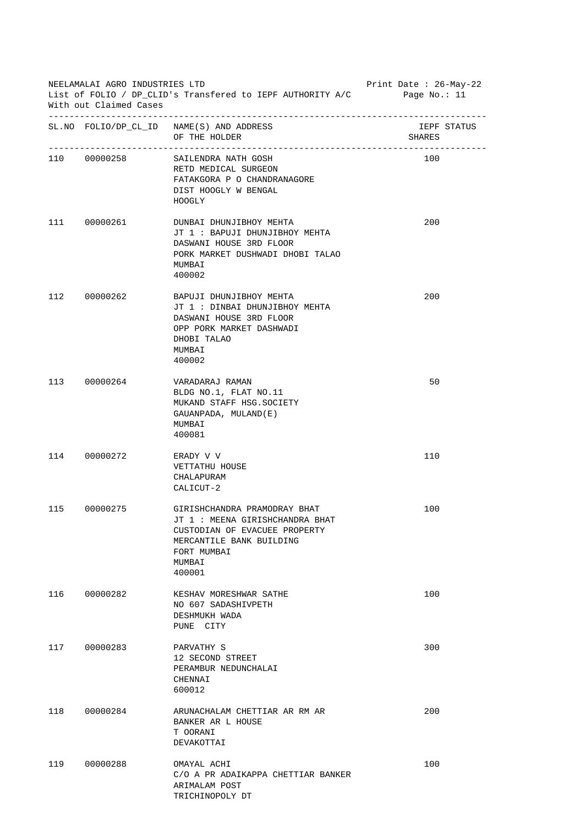| NEELAMALAI AGRO INDUSTRIES LTD<br>List of FOLIO / DP_CLID's Transfered to IEPF AUTHORITY A/C<br>With out Claimed Cases |              |                                                                                                                                                                | Print Date : 26-May-22<br>Page No.: $11$ |
|------------------------------------------------------------------------------------------------------------------------|--------------|----------------------------------------------------------------------------------------------------------------------------------------------------------------|------------------------------------------|
|                                                                                                                        |              | SL. NO FOLIO/DP_CL_ID NAME(S) AND ADDRESS<br>OF THE HOLDER                                                                                                     | IEPF STATUS<br>SHARES                    |
|                                                                                                                        | 110 00000258 | SAILENDRA NATH GOSH<br>RETD MEDICAL SURGEON<br>FATAKGORA P O CHANDRANAGORE<br>DIST HOOGLY W BENGAL<br><b>HOOGLY</b>                                            | 100                                      |
|                                                                                                                        | 111 00000261 | DUNBAI DHUNJIBHOY MEHTA<br>JT 1 : BAPUJI DHUNJIBHOY MEHTA<br>DASWANI HOUSE 3RD FLOOR<br>PORK MARKET DUSHWADI DHOBI TALAO<br>MUMBAI<br>400002                   | 200                                      |
|                                                                                                                        | 112 00000262 | BAPUJI DHUNJIBHOY MEHTA<br>JT 1: DINBAI DHUNJIBHOY MEHTA<br>DASWANI HOUSE 3RD FLOOR<br>OPP PORK MARKET DASHWADI<br>DHOBI TALAO<br>MUMBAI<br>400002             | 200                                      |
|                                                                                                                        | 113 00000264 | VARADARAJ RAMAN<br>BLDG NO.1, FLAT NO.11<br>MUKAND STAFF HSG. SOCIETY<br>GAUANPADA, MULAND(E)<br>MUMBAI<br>400081                                              | 50                                       |
|                                                                                                                        | 114 00000272 | ERADY V V<br>VETTATHU HOUSE<br>CHALAPURAM<br>CALICUT-2                                                                                                         | 110                                      |
| 115                                                                                                                    | 00000275     | GIRISHCHANDRA PRAMODRAY BHAT<br>JT 1: MEENA GIRISHCHANDRA BHAT<br>CUSTODIAN OF EVACUEE PROPERTY<br>MERCANTILE BANK BUILDING<br>FORT MUMBAI<br>MUMBAI<br>400001 | 100                                      |
| 116                                                                                                                    | 00000282     | KESHAV MORESHWAR SATHE<br>NO 607 SADASHIVPETH<br>DESHMUKH WADA<br>PUNE CITY                                                                                    | 100                                      |
| 117                                                                                                                    | 00000283     | PARVATHY S<br>12 SECOND STREET<br>PERAMBUR NEDUNCHALAI<br>CHENNAI<br>600012                                                                                    | 300                                      |
| 118                                                                                                                    | 00000284     | ARUNACHALAM CHETTIAR AR RM AR<br>BANKER AR L HOUSE<br>T OORANI<br>DEVAKOTTAI                                                                                   | 200                                      |
| 119                                                                                                                    | 00000288     | OMAYAL ACHI<br>C/O A PR ADAIKAPPA CHETTIAR BANKER<br>ARIMALAM POST<br>TRICHINOPOLY DT                                                                          | 100                                      |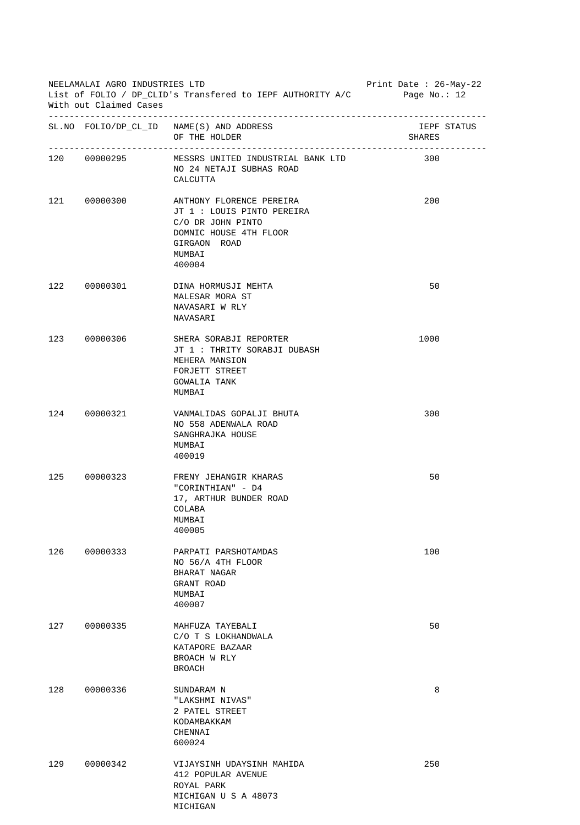| NEELAMALAI AGRO INDUSTRIES LTD<br>List of FOLIO / DP_CLID's Transfered to IEPF AUTHORITY A/C Page No.: 12<br>With out Claimed Cases |              |                                                                                                                                           | Print Date : 26-May-22 |
|-------------------------------------------------------------------------------------------------------------------------------------|--------------|-------------------------------------------------------------------------------------------------------------------------------------------|------------------------|
|                                                                                                                                     |              | SL. NO FOLIO/DP_CL_ID NAME(S) AND ADDRESS<br>OF THE HOLDER                                                                                | IEPF STATUS<br>SHARES  |
|                                                                                                                                     | 120 00000295 | MESSRS UNITED INDUSTRIAL BANK LTD<br>NO 24 NETAJI SUBHAS ROAD<br>CALCUTTA                                                                 | 300                    |
|                                                                                                                                     | 121 00000300 | ANTHONY FLORENCE PEREIRA<br>JT 1 : LOUIS PINTO PEREIRA<br>C/O DR JOHN PINTO<br>DOMNIC HOUSE 4TH FLOOR<br>GIRGAON ROAD<br>MUMBAI<br>400004 | 200                    |
|                                                                                                                                     | 122 00000301 | DINA HORMUSJI MEHTA<br>MALESAR MORA ST<br>NAVASARI W RLY<br>NAVASARI                                                                      | 50                     |
|                                                                                                                                     | 123 00000306 | SHERA SORABJI REPORTER<br>JT 1 : THRITY SORABJI DUBASH<br>MEHERA MANSION<br>FORJETT STREET<br>GOWALIA TANK<br>MUMBAI                      | 1000                   |
|                                                                                                                                     | 124 00000321 | VANMALIDAS GOPALJI BHUTA<br>NO 558 ADENWALA ROAD<br>SANGHRAJKA HOUSE<br>MUMBAI<br>400019                                                  | 300                    |
|                                                                                                                                     | 125 00000323 | FRENY JEHANGIR KHARAS<br>"CORINTHIAN" - D4<br>17, ARTHUR BUNDER ROAD<br>COLABA<br>MUMBAI<br>400005                                        | 50                     |
| 126                                                                                                                                 | 00000333     | PARPATI PARSHOTAMDAS<br>NO 56/A 4TH FLOOR<br>BHARAT NAGAR<br>GRANT ROAD<br>MUMBAI<br>400007                                               | 100                    |
| 127                                                                                                                                 | 00000335     | MAHFUZA TAYEBALI<br>C/O T S LOKHANDWALA<br>KATAPORE BAZAAR<br>BROACH W RLY<br><b>BROACH</b>                                               | 50                     |
| 128                                                                                                                                 | 00000336     | SUNDARAM N<br>"LAKSHMI NIVAS"<br>2 PATEL STREET<br>KODAMBAKKAM<br>CHENNAI<br>600024                                                       | 8                      |
| 129                                                                                                                                 | 00000342     | VIJAYSINH UDAYSINH MAHIDA<br>412 POPULAR AVENUE<br>ROYAL PARK<br>MICHIGAN U S A 48073<br>MICHIGAN                                         | 250                    |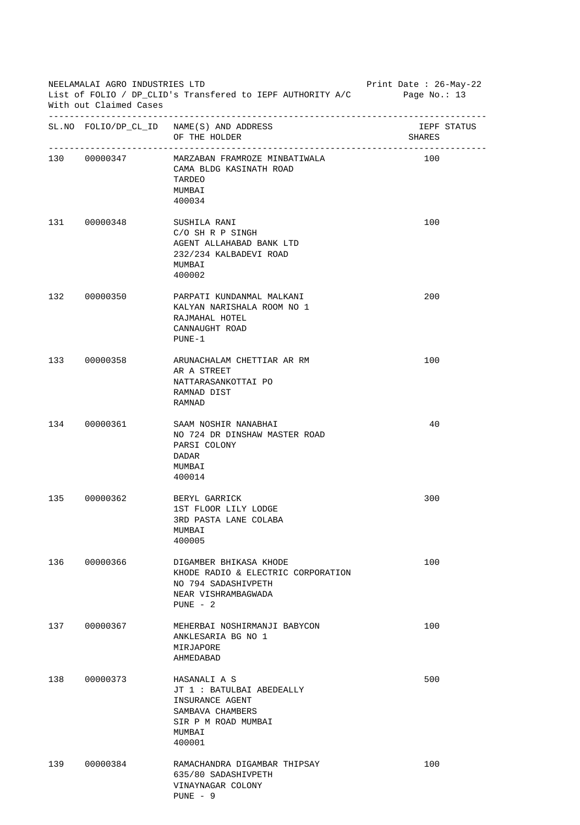| NEELAMALAI AGRO INDUSTRIES LTD<br>List of FOLIO / DP_CLID's Transfered to IEPF AUTHORITY A/C<br>With out Claimed Cases |              |                                                                                                                             | Print Date : $26$ -May-22<br>Page No.: 13 |
|------------------------------------------------------------------------------------------------------------------------|--------------|-----------------------------------------------------------------------------------------------------------------------------|-------------------------------------------|
|                                                                                                                        |              | SL. NO FOLIO/DP_CL_ID NAME(S) AND ADDRESS<br>OF THE HOLDER                                                                  | IEPF STATUS<br>SHARES                     |
|                                                                                                                        | 130 00000347 | MARZABAN FRAMROZE MINBATIWALA<br>CAMA BLDG KASINATH ROAD<br>TARDEO<br>MUMBAI<br>400034                                      | 100                                       |
|                                                                                                                        | 131 00000348 | SUSHILA RANI<br>C/O SH R P SINGH<br>AGENT ALLAHABAD BANK LTD<br>232/234 KALBADEVI ROAD<br>MUMBAI<br>400002                  | 100                                       |
|                                                                                                                        | 132 00000350 | PARPATI KUNDANMAL MALKANI<br>KALYAN NARISHALA ROOM NO 1<br>RAJMAHAL HOTEL<br>CANNAUGHT ROAD<br>$PUNE-1$                     | 200                                       |
|                                                                                                                        | 133 00000358 | ARUNACHALAM CHETTIAR AR RM<br>AR A STREET<br>NATTARASANKOTTAI PO<br>RAMNAD DIST<br>RAMNAD                                   | 100                                       |
|                                                                                                                        | 134 00000361 | SAAM NOSHIR NANABHAI<br>NO 724 DR DINSHAW MASTER ROAD<br>PARSI COLONY<br>DADAR<br>MUMBAI<br>400014                          | 40                                        |
| 135                                                                                                                    | 00000362     | BERYL GARRICK<br>1ST FLOOR LILY LODGE<br>3RD PASTA LANE COLABA<br>MUMBAI<br>400005                                          | 300                                       |
| 136                                                                                                                    | 00000366     | DIGAMBER BHIKASA KHODE<br>KHODE RADIO & ELECTRIC CORPORATION<br>NO 794 SADASHIVPETH<br>NEAR VISHRAMBAGWADA<br>$PUNE - 2$    | 100                                       |
| 137                                                                                                                    | 00000367     | MEHERBAI NOSHIRMANJI BABYCON<br>ANKLESARIA BG NO 1<br>MIRJAPORE<br>AHMEDABAD                                                | 100                                       |
| 138                                                                                                                    | 00000373     | HASANALI A S<br>JT 1 : BATULBAI ABEDEALLY<br>INSURANCE AGENT<br>SAMBAVA CHAMBERS<br>SIR P M ROAD MUMBAI<br>MUMBAI<br>400001 | 500                                       |
| 139                                                                                                                    | 00000384     | RAMACHANDRA DIGAMBAR THIPSAY<br>635/80 SADASHIVPETH<br>VINAYNAGAR COLONY<br>$PUNE - 9$                                      | 100                                       |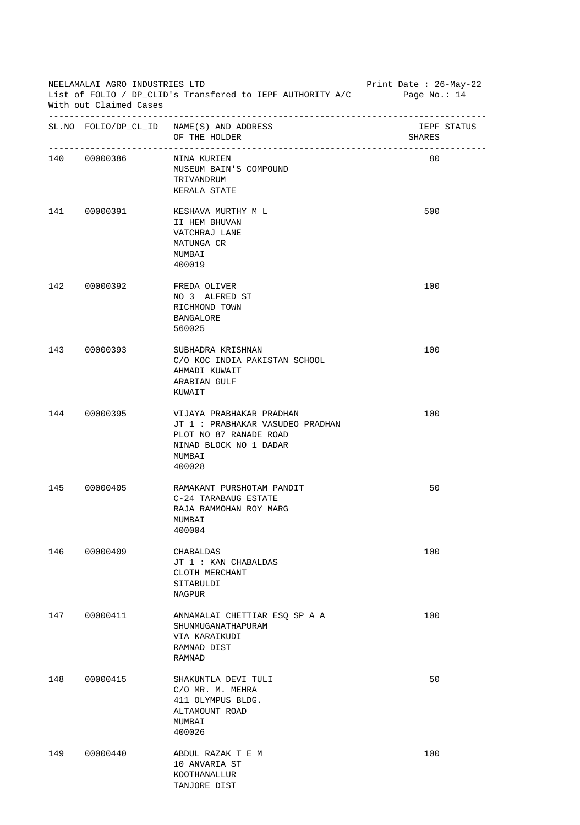| NEELAMALAI AGRO INDUSTRIES LTD<br>List of FOLIO / DP_CLID's Transfered to IEPF AUTHORITY A/C Page No.: 14<br>With out Claimed Cases |                          |                                                                                                                                      | Print Date : 26-May-22 |
|-------------------------------------------------------------------------------------------------------------------------------------|--------------------------|--------------------------------------------------------------------------------------------------------------------------------------|------------------------|
|                                                                                                                                     |                          | SL. NO FOLIO/DP_CL_ID NAME(S) AND ADDRESS<br>OF THE HOLDER                                                                           | IEPF STATUS<br>SHARES  |
|                                                                                                                                     | 140 00000386 NINA KURIEN | MUSEUM BAIN'S COMPOUND<br>TRIVANDRUM<br>KERALA STATE                                                                                 | 80                     |
|                                                                                                                                     | 141 00000391             | KESHAVA MURTHY M L<br>II HEM BHUVAN<br>VATCHRAJ LANE<br>MATUNGA CR<br>MUMBAI<br>400019                                               | 500                    |
|                                                                                                                                     | 142 00000392             | FREDA OLIVER<br>NO 3 ALFRED ST<br>RICHMOND TOWN<br><b>BANGALORE</b><br>560025                                                        | 100                    |
|                                                                                                                                     | 143 00000393             | SUBHADRA KRISHNAN<br>C/O KOC INDIA PAKISTAN SCHOOL<br>AHMADI KUWAIT<br>ARABIAN GULF<br>KUWAIT                                        | 100                    |
|                                                                                                                                     | 144 00000395             | VIJAYA PRABHAKAR PRADHAN<br>JT 1 : PRABHAKAR VASUDEO PRADHAN<br>PLOT NO 87 RANADE ROAD<br>NINAD BLOCK NO 1 DADAR<br>MUMBAI<br>400028 | 100                    |
| 145                                                                                                                                 | 00000405                 | RAMAKANT PURSHOTAM PANDIT<br>C-24 TARABAUG ESTATE<br>RAJA RAMMOHAN ROY MARG<br>MUMBAI<br>400004                                      | 50                     |
| 146                                                                                                                                 | 00000409                 | CHABALDAS<br>JT 1: KAN CHABALDAS<br>CLOTH MERCHANT<br>SITABULDI<br>NAGPUR                                                            | 100                    |
| 147                                                                                                                                 | 00000411                 | ANNAMALAI CHETTIAR ESQ SP A A<br>SHUNMUGANATHAPURAM<br>VIA KARAIKUDI<br>RAMNAD DIST<br>RAMNAD                                        | 100                    |
| 148                                                                                                                                 | 00000415                 | SHAKUNTLA DEVI TULI<br>C/O MR. M. MEHRA<br>411 OLYMPUS BLDG.<br>ALTAMOUNT ROAD<br>MUMBAI<br>400026                                   | 50                     |
| 149                                                                                                                                 | 00000440                 | ABDUL RAZAK T E M<br>10 ANVARIA ST<br>KOOTHANALLUR<br>TANJORE DIST                                                                   | 100                    |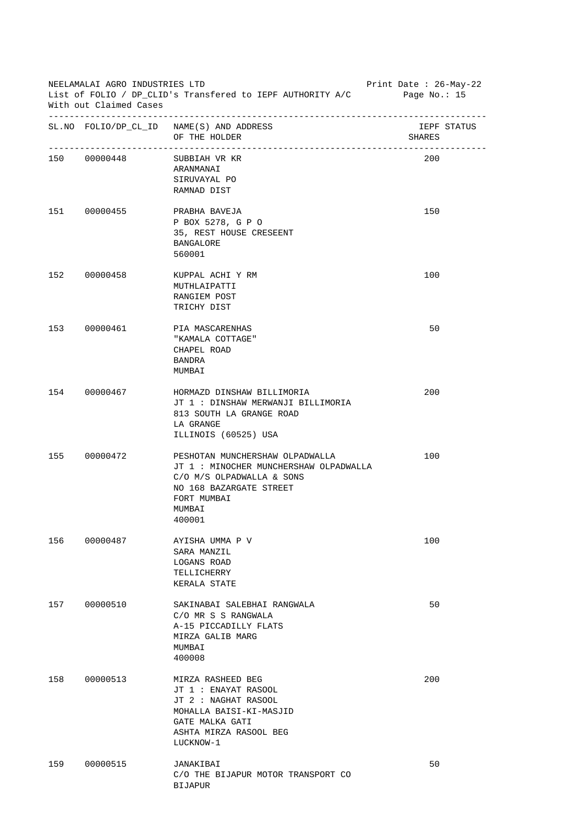| NEELAMALAI AGRO INDUSTRIES LTD<br>Print Date : 26-May-22<br>List of FOLIO / DP_CLID's Transfered to IEPF AUTHORITY A/C<br>Page No.: $15$<br>With out Claimed Cases |              |                                                                                                                                                                     |        |             |
|--------------------------------------------------------------------------------------------------------------------------------------------------------------------|--------------|---------------------------------------------------------------------------------------------------------------------------------------------------------------------|--------|-------------|
|                                                                                                                                                                    |              | SL. NO FOLIO/DP_CL_ID NAME(S) AND ADDRESS<br>OF THE HOLDER                                                                                                          | SHARES | IEPF STATUS |
|                                                                                                                                                                    | 150 00000448 | SUBBIAH VR KR<br>ARANMANAI<br>SIRUVAYAL PO<br>RAMNAD DIST                                                                                                           | 200    |             |
|                                                                                                                                                                    | 151 00000455 | PRABHA BAVEJA<br>P BOX 5278, G P O<br>35, REST HOUSE CRESEENT<br>BANGALORE<br>560001                                                                                | 150    |             |
|                                                                                                                                                                    | 152 00000458 | KUPPAL ACHI Y RM<br>MUTHLAIPATTI<br>RANGIEM POST<br>TRICHY DIST                                                                                                     | 100    |             |
|                                                                                                                                                                    | 153 00000461 | PIA MASCARENHAS<br>"KAMALA COTTAGE"<br>CHAPEL ROAD<br>BANDRA<br>MUMBAI                                                                                              | 50     |             |
|                                                                                                                                                                    | 154 00000467 | HORMAZD DINSHAW BILLIMORIA<br>JT 1 : DINSHAW MERWANJI BILLIMORIA<br>813 SOUTH LA GRANGE ROAD<br>LA GRANGE<br>ILLINOIS (60525) USA                                   | 200    |             |
|                                                                                                                                                                    | 155 00000472 | PESHOTAN MUNCHERSHAW OLPADWALLA<br>JT 1: MINOCHER MUNCHERSHAW OLPADWALLA<br>C/O M/S OLPADWALLA & SONS<br>NO 168 BAZARGATE STREET<br>FORT MUMBAI<br>MUMBAI<br>400001 | 100    |             |
| 156                                                                                                                                                                | 00000487     | AYISHA UMMA P V<br>SARA MANZIL<br>LOGANS ROAD<br>TELLICHERRY<br>KERALA STATE                                                                                        | 100    |             |
| 157                                                                                                                                                                | 00000510     | SAKINABAI SALEBHAI RANGWALA<br>C/O MR S S RANGWALA<br>A-15 PICCADILLY FLATS<br>MIRZA GALIB MARG<br>MUMBAI<br>400008                                                 | 50     |             |
| 158                                                                                                                                                                | 00000513     | MIRZA RASHEED BEG<br>JT 1 : ENAYAT RASOOL<br>JT 2 : NAGHAT RASOOL<br>MOHALLA BAISI-KI-MASJID<br>GATE MALKA GATI<br>ASHTA MIRZA RASOOL BEG<br>LUCKNOW-1              | 200    |             |
| 159                                                                                                                                                                | 00000515     | JANAKIBAI<br>C/O THE BIJAPUR MOTOR TRANSPORT CO<br><b>BIJAPUR</b>                                                                                                   | 50     |             |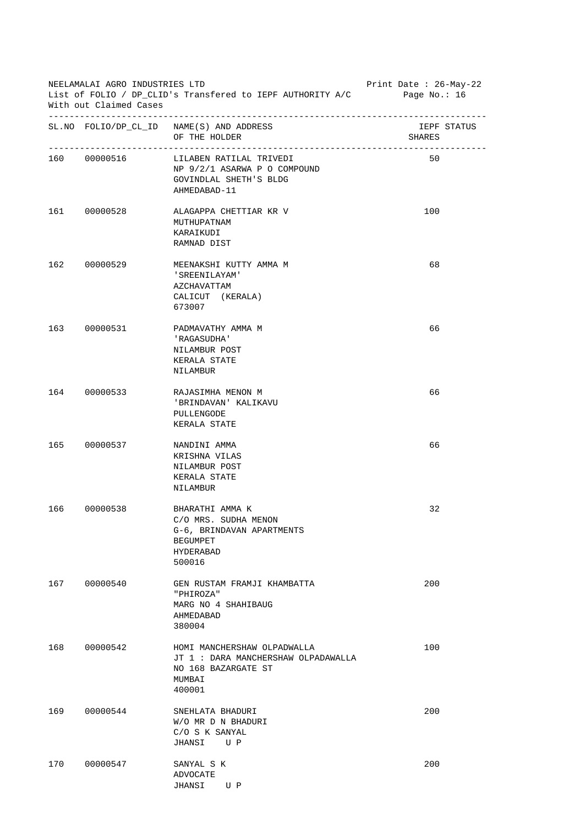|     | NEELAMALAI AGRO INDUSTRIES LTD<br>Print Date: 26-May-22<br>List of FOLIO / DP_CLID's Transfered to IEPF AUTHORITY A/C<br>Page No.: $16$<br>With out Claimed Cases |                                                                                                                |                       |  |  |
|-----|-------------------------------------------------------------------------------------------------------------------------------------------------------------------|----------------------------------------------------------------------------------------------------------------|-----------------------|--|--|
|     |                                                                                                                                                                   | SL. NO FOLIO/DP_CL_ID NAME(S) AND ADDRESS<br>OF THE HOLDER                                                     | IEPF STATUS<br>SHARES |  |  |
|     | 160 00000516                                                                                                                                                      | LILABEN RATILAL TRIVEDI<br>NP 9/2/1 ASARWA P O COMPOUND<br>GOVINDLAL SHETH'S BLDG<br>AHMEDABAD-11              | 50                    |  |  |
|     | 161 00000528                                                                                                                                                      | ALAGAPPA CHETTIAR KR V<br>MUTHUPATNAM<br>KARAIKUDI<br>RAMNAD DIST                                              | 100                   |  |  |
|     | 162 00000529                                                                                                                                                      | MEENAKSHI KUTTY AMMA M<br>'SREENILAYAM'<br>AZCHAVATTAM<br>CALICUT (KERALA)<br>673007                           | 68                    |  |  |
|     | 163 00000531                                                                                                                                                      | PADMAVATHY AMMA M<br>'RAGASUDHA'<br>NILAMBUR POST<br>KERALA STATE<br>NILAMBUR                                  | 66                    |  |  |
|     | 164 00000533                                                                                                                                                      | RAJASIMHA MENON M<br>'BRINDAVAN' KALIKAVU<br>PULLENGODE<br>KERALA STATE                                        | 66                    |  |  |
|     | 165 00000537                                                                                                                                                      | NANDINI AMMA<br>KRISHNA VILAS<br>NILAMBUR POST<br>KERALA STATE<br>NILAMBUR                                     | 66                    |  |  |
| 166 | 00000538                                                                                                                                                          | BHARATHI AMMA K<br>C/O MRS. SUDHA MENON<br>G-6, BRINDAVAN APARTMENTS<br><b>BEGUMPET</b><br>HYDERABAD<br>500016 | 32                    |  |  |
| 167 | 00000540                                                                                                                                                          | GEN RUSTAM FRAMJI KHAMBATTA<br>"PHIROZA"<br>MARG NO 4 SHAHIBAUG<br>AHMEDABAD<br>380004                         | 200                   |  |  |
| 168 | 00000542                                                                                                                                                          | HOMI MANCHERSHAW OLPADWALLA<br>JT 1 : DARA MANCHERSHAW OLPADAWALLA<br>NO 168 BAZARGATE ST<br>MUMBAI<br>400001  | 100                   |  |  |
| 169 | 00000544                                                                                                                                                          | SNEHLATA BHADURI<br>W/O MR D N BHADURI<br>C/O S K SANYAL<br>JHANSI<br>U P                                      | 200                   |  |  |
| 170 | 00000547                                                                                                                                                          | SANYAL S K<br>ADVOCATE<br>JHANSI<br>U P                                                                        | 200                   |  |  |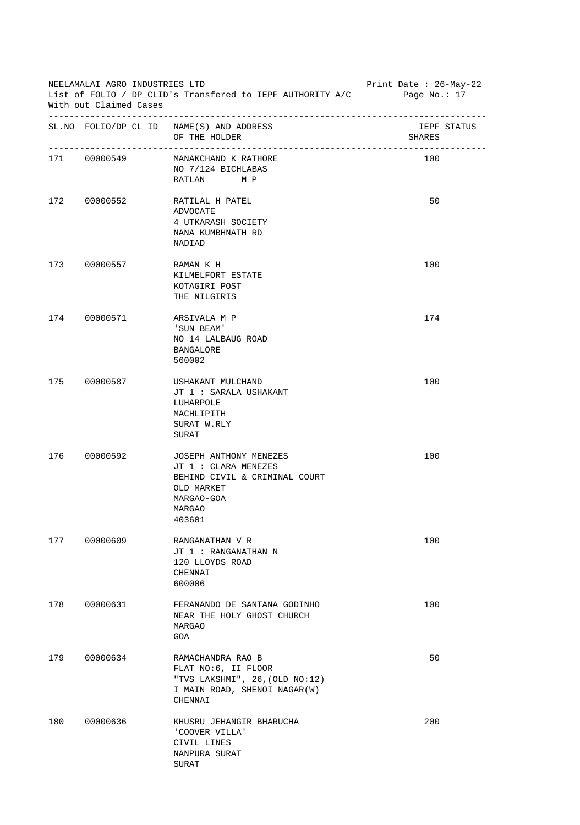| NEELAMALAI AGRO INDUSTRIES LTD<br>List of FOLIO / DP CLID's Transfered to IEPF AUTHORITY A/C<br>With out Claimed Cases |              |                                                                                                                                 | Print Date : $26-May-22$<br>Page No.: $17$ |
|------------------------------------------------------------------------------------------------------------------------|--------------|---------------------------------------------------------------------------------------------------------------------------------|--------------------------------------------|
|                                                                                                                        |              | SL. NO FOLIO/DP_CL_ID NAME(S) AND ADDRESS<br>OF THE HOLDER                                                                      | IEPF STATUS<br>SHARES                      |
|                                                                                                                        | 171 00000549 | MANAKCHAND K RATHORE<br>NO 7/124 BICHLABAS<br>RATLAN MP                                                                         | 100                                        |
|                                                                                                                        | 172 00000552 | RATILAL H PATEL<br>ADVOCATE<br>4 UTKARASH SOCIETY<br>NANA KUMBHNATH RD<br>NADIAD                                                | 50                                         |
|                                                                                                                        | 173 00000557 | RAMAN K H<br>KILMELFORT ESTATE<br>KOTAGIRI POST<br>THE NILGIRIS                                                                 | 100                                        |
|                                                                                                                        | 174 00000571 | ARSIVALA M P<br>'SUN BEAM'<br>NO 14 LALBAUG ROAD<br><b>BANGALORE</b><br>560002                                                  | 174                                        |
|                                                                                                                        | 175 00000587 | USHAKANT MULCHAND<br>JT 1 : SARALA USHAKANT<br>LUHARPOLE<br>MACHLIPITH<br>SURAT W.RLY<br>SURAT                                  | 100                                        |
|                                                                                                                        | 176 00000592 | JOSEPH ANTHONY MENEZES<br>JT 1 : CLARA MENEZES<br>BEHIND CIVIL & CRIMINAL COURT<br>OLD MARKET<br>MARGAO-GOA<br>MARGAO<br>403601 | 100                                        |
| 177                                                                                                                    | 00000609     | RANGANATHAN V R<br>JT 1 : RANGANATHAN N<br>120 LLOYDS ROAD<br>CHENNAI<br>600006                                                 | 100                                        |
| 178                                                                                                                    | 00000631     | FERANANDO DE SANTANA GODINHO<br>NEAR THE HOLY GHOST CHURCH<br>MARGAO<br>GOA                                                     | 100                                        |
| 179                                                                                                                    | 00000634     | RAMACHANDRA RAO B<br>FLAT NO:6, II FLOOR<br>"TVS LAKSHMI", 26, (OLD NO:12)<br>I MAIN ROAD, SHENOI NAGAR(W)<br>CHENNAI           | 50                                         |
| 180                                                                                                                    | 00000636     | KHUSRU JEHANGIR BHARUCHA<br>'COOVER VILLA'<br>CIVIL LINES<br>NANPURA SURAT<br>SURAT                                             | 200                                        |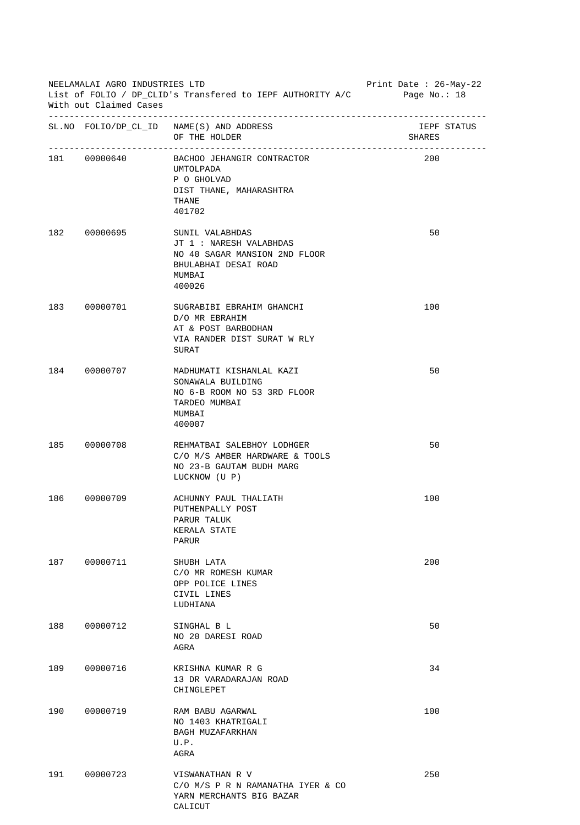| NEELAMALAI AGRO INDUSTRIES LTD<br>List of FOLIO / DP_CLID's Transfered to IEPF AUTHORITY A/C Page No.: 18<br>With out Claimed Cases |              |                                                                                                                         | Print Date: 26-May-22 |
|-------------------------------------------------------------------------------------------------------------------------------------|--------------|-------------------------------------------------------------------------------------------------------------------------|-----------------------|
|                                                                                                                                     |              | SL. NO FOLIO/DP_CL_ID NAME(S) AND ADDRESS<br>OF THE HOLDER                                                              | IEPF STATUS<br>SHARES |
|                                                                                                                                     | 181 00000640 | BACHOO JEHANGIR CONTRACTOR<br>UMTOLPADA<br>P O GHOLVAD<br>DIST THANE, MAHARASHTRA<br>THANE<br>401702                    | 200                   |
|                                                                                                                                     | 182 00000695 | SUNIL VALABHDAS<br>JT 1 : NARESH VALABHDAS<br>NO 40 SAGAR MANSION 2ND FLOOR<br>BHULABHAI DESAI ROAD<br>MUMBAI<br>400026 | 50                    |
|                                                                                                                                     | 183 00000701 | SUGRABIBI EBRAHIM GHANCHI<br>D/O MR EBRAHIM<br>AT & POST BARBODHAN<br>VIA RANDER DIST SURAT W RLY<br>SURAT              | 100                   |
|                                                                                                                                     | 184 00000707 | MADHUMATI KISHANLAL KAZI<br>SONAWALA BUILDING<br>NO 6-B ROOM NO 53 3RD FLOOR<br>TARDEO MUMBAI<br>MUMBAI<br>400007       | 50                    |
|                                                                                                                                     | 185 00000708 | REHMATBAI SALEBHOY LODHGER<br>C/O M/S AMBER HARDWARE & TOOLS<br>NO 23-B GAUTAM BUDH MARG<br>LUCKNOW (U P)               | 50                    |
| 186                                                                                                                                 | 00000709     | ACHUNNY PAUL THALIATH<br>PUTHENPALLY POST<br>PARUR TALUK<br>KERALA STATE<br>PARUR                                       | 100                   |
| 187                                                                                                                                 | 00000711     | SHUBH LATA<br>C/O MR ROMESH KUMAR<br>OPP POLICE LINES<br>CIVIL LINES<br>LUDHIANA                                        | 200                   |
| 188                                                                                                                                 | 00000712     | SINGHAL B L<br>NO 20 DARESI ROAD<br>AGRA                                                                                | 50                    |
| 189                                                                                                                                 | 00000716     | KRISHNA KUMAR R G<br>13 DR VARADARAJAN ROAD<br>CHINGLEPET                                                               | 34                    |
| 190                                                                                                                                 | 00000719     | RAM BABU AGARWAL<br>NO 1403 KHATRIGALI<br>BAGH MUZAFARKHAN<br>U.P.<br>AGRA                                              | 100                   |
| 191                                                                                                                                 | 00000723     | VISWANATHAN R V<br>C/O M/S P R N RAMANATHA IYER & CO<br>YARN MERCHANTS BIG BAZAR<br>CALICUT                             | 250                   |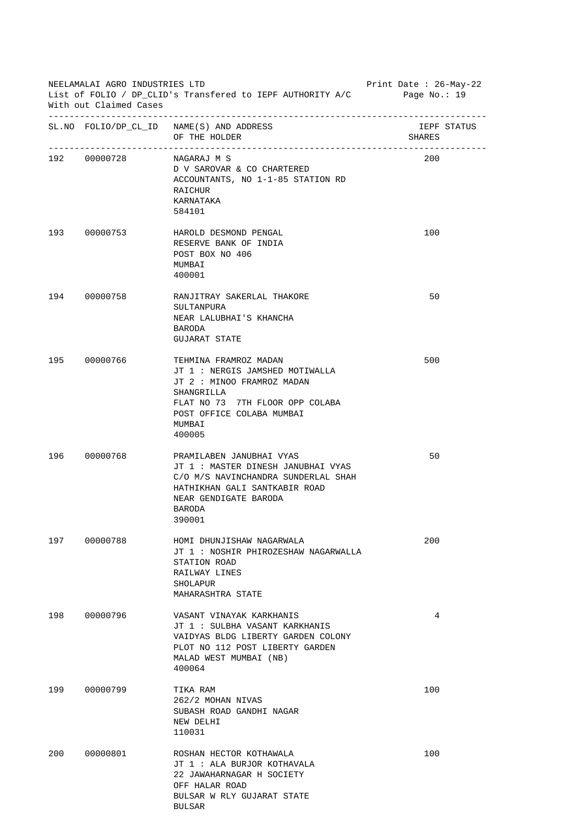| NEELAMALAI AGRO INDUSTRIES LTD<br>List of FOLIO / DP CLID's Transfered to IEPF AUTHORITY A/C Page No.: 19<br>With out Claimed Cases |                       |                                                                                                                                                                                          | Print Date : 26-May-22 |
|-------------------------------------------------------------------------------------------------------------------------------------|-----------------------|------------------------------------------------------------------------------------------------------------------------------------------------------------------------------------------|------------------------|
|                                                                                                                                     | --------------------- | SL. NO FOLIO/DP_CL_ID NAME(S) AND ADDRESS<br>OF THE HOLDER                                                                                                                               | IEPF STATUS<br>SHARES  |
|                                                                                                                                     | 192 00000728          | NAGARAJ M S<br>D V SAROVAR & CO CHARTERED<br>ACCOUNTANTS, NO 1-1-85 STATION RD<br><b>RAICHUR</b><br>KARNATAKA<br>584101                                                                  | 200                    |
|                                                                                                                                     | 193 00000753          | HAROLD DESMOND PENGAL<br>RESERVE BANK OF INDIA<br>POST BOX NO 406<br>MUMBAI<br>400001                                                                                                    | 100                    |
|                                                                                                                                     | 194 00000758          | RANJITRAY SAKERLAL THAKORE<br>SULTANPURA<br>NEAR LALUBHAI'S KHANCHA<br>BARODA<br><b>GUJARAT STATE</b>                                                                                    | 50                     |
|                                                                                                                                     | 195 00000766          | TEHMINA FRAMROZ MADAN<br>JT 1 : NERGIS JAMSHED MOTIWALLA<br>JT 2 : MINOO FRAMROZ MADAN<br>SHANGRILLA<br>FLAT NO 73 7TH FLOOR OPP COLABA<br>POST OFFICE COLABA MUMBAI<br>MUMBAI<br>400005 | 500                    |
|                                                                                                                                     | 196 00000768          | PRAMILABEN JANUBHAI VYAS<br>JT 1 : MASTER DINESH JANUBHAI VYAS<br>C/O M/S NAVINCHANDRA SUNDERLAL SHAH<br>HATHIKHAN GALI SANTKABIR ROAD<br>NEAR GENDIGATE BARODA<br>BARODA<br>390001      | 50                     |
| 197                                                                                                                                 | 00000788              | HOMI DHUNJISHAW NAGARWALA<br>JT 1: NOSHIR PHIROZESHAW NAGARWALLA<br>STATION ROAD<br>RAILWAY LINES<br>SHOLAPUR<br>MAHARASHTRA STATE                                                       | 200                    |
| 198                                                                                                                                 | 00000796              | VASANT VINAYAK KARKHANIS<br>JT 1 : SULBHA VASANT KARKHANIS<br>VAIDYAS BLDG LIBERTY GARDEN COLONY<br>PLOT NO 112 POST LIBERTY GARDEN<br>MALAD WEST MUMBAI (NB)<br>400064                  | 4                      |
| 199                                                                                                                                 | 00000799              | TIKA RAM<br>262/2 MOHAN NIVAS<br>SUBASH ROAD GANDHI NAGAR<br>NEW DELHI<br>110031                                                                                                         | 100                    |
| 200                                                                                                                                 | 00000801              | ROSHAN HECTOR KOTHAWALA<br>JT 1 : ALA BURJOR KOTHAVALA<br>22 JAWAHARNAGAR H SOCIETY<br>OFF HALAR ROAD<br>BULSAR W RLY GUJARAT STATE<br><b>BULSAR</b>                                     | 100                    |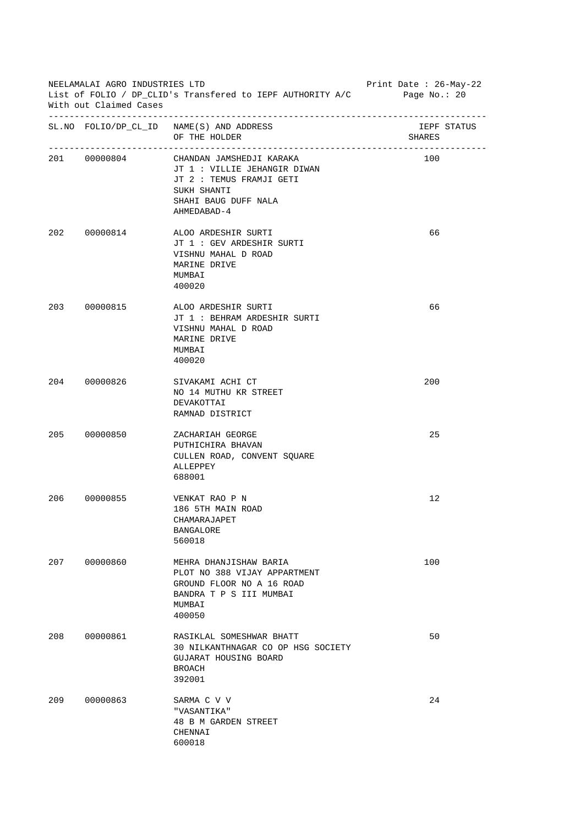| NEELAMALAI AGRO INDUSTRIES LTD<br>List of FOLIO / DP_CLID's Transfered to IEPF AUTHORITY A/C<br>With out Claimed Cases |              |                                                                                                                                            | Print Date : 26-May-22<br>Page $No.: 20$ |
|------------------------------------------------------------------------------------------------------------------------|--------------|--------------------------------------------------------------------------------------------------------------------------------------------|------------------------------------------|
|                                                                                                                        |              | SL. NO FOLIO/DP_CL_ID NAME(S) AND ADDRESS<br>OF THE HOLDER                                                                                 | IEPF STATUS<br>SHARES                    |
|                                                                                                                        | 201 00000804 | CHANDAN JAMSHEDJI KARAKA<br>JT 1 : VILLIE JEHANGIR DIWAN<br>JT 2 : TEMUS FRAMJI GETI<br>SUKH SHANTI<br>SHAHI BAUG DUFF NALA<br>AHMEDABAD-4 | 100                                      |
|                                                                                                                        | 202 00000814 | ALOO ARDESHIR SURTI<br>JT 1 : GEV ARDESHIR SURTI<br>VISHNU MAHAL D ROAD<br>MARINE DRIVE<br>MUMBAI<br>400020                                | 66                                       |
|                                                                                                                        | 203 00000815 | ALOO ARDESHIR SURTI<br>JT 1 : BEHRAM ARDESHIR SURTI<br>VISHNU MAHAL D ROAD<br>MARINE DRIVE<br>MUMBAI<br>400020                             | 66                                       |
|                                                                                                                        | 204 00000826 | SIVAKAMI ACHI CT<br>NO 14 MUTHU KR STREET<br>DEVAKOTTAI<br>RAMNAD DISTRICT                                                                 | 200                                      |
|                                                                                                                        | 205 00000850 | ZACHARIAH GEORGE<br>PUTHICHIRA BHAVAN<br>CULLEN ROAD, CONVENT SQUARE<br>ALLEPPEY<br>688001                                                 | 25                                       |
| 206                                                                                                                    | 00000855     | VENKAT RAO P N<br>186 5TH MAIN ROAD<br>CHAMARAJAPET<br><b>BANGALORE</b><br>560018                                                          | 12                                       |
| 207                                                                                                                    | 00000860     | MEHRA DHANJISHAW BARIA<br>PLOT NO 388 VIJAY APPARTMENT<br>GROUND FLOOR NO A 16 ROAD<br>BANDRA T P S III MUMBAI<br>MUMBAI<br>400050         | 100                                      |
| 208                                                                                                                    | 00000861     | RASIKLAL SOMESHWAR BHATT<br>30 NILKANTHNAGAR CO OP HSG SOCIETY<br>GUJARAT HOUSING BOARD<br>BROACH<br>392001                                | 50                                       |
| 209                                                                                                                    | 00000863     | SARMA C V V<br>"VASANTIKA"<br>48 B M GARDEN STREET<br>CHENNAI<br>600018                                                                    | 24                                       |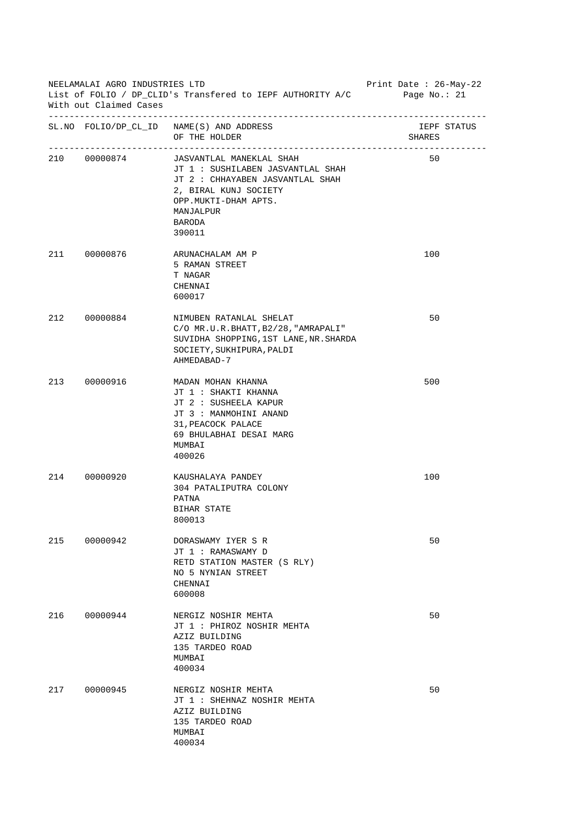| NEELAMALAI AGRO INDUSTRIES LTD<br>List of FOLIO / DP_CLID's Transfered to IEPF AUTHORITY A/C<br>With out Claimed Cases |              |                                                                                                                                                                                     | Print Date : 26-May-22<br>Page No.: 21 |
|------------------------------------------------------------------------------------------------------------------------|--------------|-------------------------------------------------------------------------------------------------------------------------------------------------------------------------------------|----------------------------------------|
|                                                                                                                        |              | SL. NO FOLIO/DP_CL_ID NAME(S) AND ADDRESS<br>OF THE HOLDER                                                                                                                          | IEPF STATUS<br>SHARES                  |
|                                                                                                                        | 210 00000874 | JASVANTLAL MANEKLAL SHAH<br>JT 1 : SUSHILABEN JASVANTLAL SHAH<br>JT 2 : CHHAYABEN JASVANTLAL SHAH<br>2, BIRAL KUNJ SOCIETY<br>OPP.MUKTI-DHAM APTS.<br>MANJALPUR<br>BARODA<br>390011 | 50                                     |
|                                                                                                                        | 211 00000876 | ARUNACHALAM AM P<br>5 RAMAN STREET<br>T NAGAR<br>CHENNAI<br>600017                                                                                                                  | 100                                    |
|                                                                                                                        | 212 00000884 | NIMUBEN RATANLAL SHELAT<br>C/O MR.U.R.BHATT, B2/28, "AMRAPALI"<br>SUVIDHA SHOPPING, 1ST LANE, NR. SHARDA<br>SOCIETY, SUKHIPURA, PALDI<br>AHMEDABAD-7                                | 50                                     |
|                                                                                                                        | 213 00000916 | MADAN MOHAN KHANNA<br>JT 1 : SHAKTI KHANNA<br>JT 2 : SUSHEELA KAPUR<br>JT 3 : MANMOHINI ANAND<br>31, PEACOCK PALACE<br>69 BHULABHAI DESAI MARG<br>MUMBAI<br>400026                  | 500                                    |
|                                                                                                                        | 214 00000920 | KAUSHALAYA PANDEY<br>304 PATALIPUTRA COLONY<br>PATNA<br>BIHAR STATE<br>800013                                                                                                       | 100                                    |
| 215                                                                                                                    | 00000942     | DORASWAMY IYER S R<br>JT 1 : RAMASWAMY D<br>RETD STATION MASTER (S RLY)<br>NO 5 NYNIAN STREET<br>CHENNAI<br>600008                                                                  | 50                                     |
| 216                                                                                                                    | 00000944     | NERGIZ NOSHIR MEHTA<br>JT 1 : PHIROZ NOSHIR MEHTA<br>AZIZ BUILDING<br>135 TARDEO ROAD<br>MUMBAI<br>400034                                                                           | 50                                     |
| 217                                                                                                                    | 00000945     | NERGIZ NOSHIR MEHTA<br>JT 1 : SHEHNAZ NOSHIR MEHTA<br>AZIZ BUILDING<br>135 TARDEO ROAD<br>MUMBAI<br>400034                                                                          | 50                                     |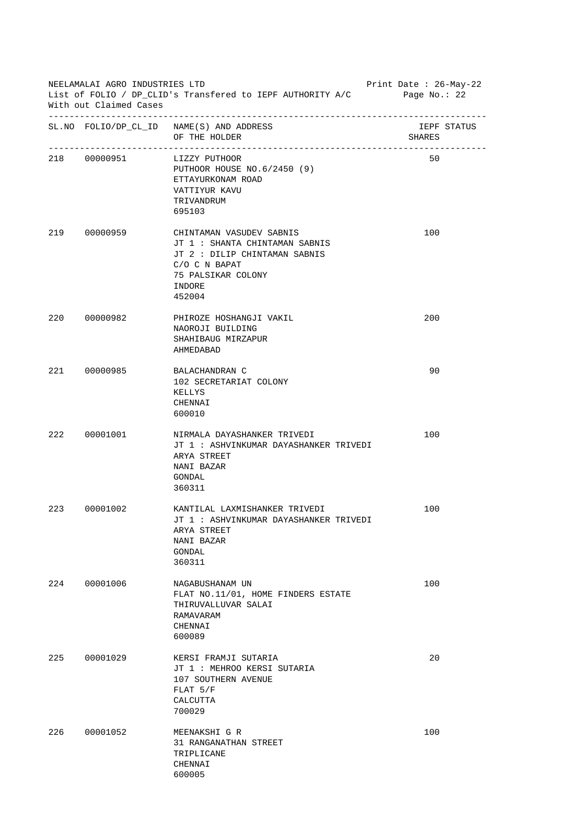| NEELAMALAI AGRO INDUSTRIES LTD<br>List of FOLIO / DP_CLID's Transfered to IEPF AUTHORITY A/C Page No.: 22<br>With out Claimed Cases |              |                                                                                                                                                        | Print Date: 26-May-22 |
|-------------------------------------------------------------------------------------------------------------------------------------|--------------|--------------------------------------------------------------------------------------------------------------------------------------------------------|-----------------------|
|                                                                                                                                     |              | SL. NO FOLIO/DP_CL_ID NAME(S) AND ADDRESS<br>OF THE HOLDER                                                                                             | IEPF STATUS<br>SHARES |
|                                                                                                                                     | 218 00000951 | LIZZY PUTHOOR<br>PUTHOOR HOUSE NO.6/2450 (9)<br>ETTAYURKONAM ROAD<br>VATTIYUR KAVU<br>TRIVANDRUM<br>695103                                             | 50                    |
|                                                                                                                                     | 219 00000959 | CHINTAMAN VASUDEV SABNIS<br>JT 1 : SHANTA CHINTAMAN SABNIS<br>JT 2 : DILIP CHINTAMAN SABNIS<br>C/O C N BAPAT<br>75 PALSIKAR COLONY<br>INDORE<br>452004 | 100                   |
|                                                                                                                                     | 220 00000982 | PHIROZE HOSHANGJI VAKIL<br>NAOROJI BUILDING<br>SHAHIBAUG MIRZAPUR<br>AHMEDABAD                                                                         | 200                   |
|                                                                                                                                     | 221 00000985 | BALACHANDRAN C<br>102 SECRETARIAT COLONY<br>KELLYS<br>CHENNAI<br>600010                                                                                | 90                    |
|                                                                                                                                     | 222 00001001 | NIRMALA DAYASHANKER TRIVEDI<br>JT 1 : ASHVINKUMAR DAYASHANKER TRIVEDI<br>ARYA STREET<br>NANI BAZAR<br>GONDAL<br>360311                                 | 100                   |
| 223                                                                                                                                 | 00001002     | KANTILAL LAXMISHANKER TRIVEDI<br>JT 1 : ASHVINKUMAR DAYASHANKER TRIVEDI<br>ARYA STREET<br>NANI BAZAR<br>GONDAL<br>360311                               | 100                   |
| 224                                                                                                                                 | 00001006     | NAGABUSHANAM UN<br>FLAT NO.11/01, HOME FINDERS ESTATE<br>THIRUVALLUVAR SALAI<br>RAMAVARAM<br>CHENNAI<br>600089                                         | 100                   |
| 225                                                                                                                                 | 00001029     | KERSI FRAMJI SUTARIA<br>JT 1 : MEHROO KERSI SUTARIA<br>107 SOUTHERN AVENUE<br>$FLAT$ 5/F<br>CALCUTTA<br>700029                                         | 20                    |
| 226                                                                                                                                 | 00001052     | MEENAKSHI G R<br>31 RANGANATHAN STREET<br>TRIPLICANE<br>CHENNAI<br>600005                                                                              | 100                   |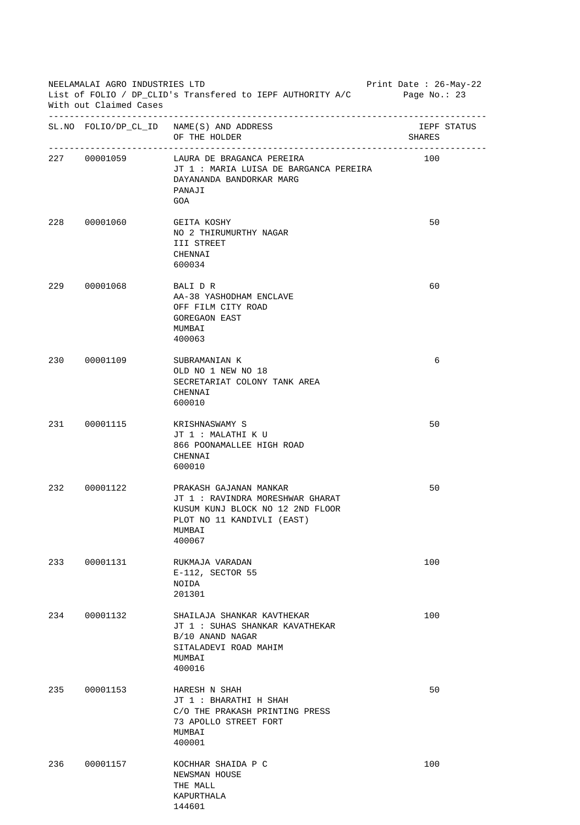|     | NEELAMALAI AGRO INDUSTRIES LTD<br>Print Date : $26$ -May-22<br>List of FOLIO / DP_CLID's Transfered to IEPF AUTHORITY A/C Page No.: 23<br>With out Claimed Cases |                                                                                                                                                  |                       |  |
|-----|------------------------------------------------------------------------------------------------------------------------------------------------------------------|--------------------------------------------------------------------------------------------------------------------------------------------------|-----------------------|--|
|     |                                                                                                                                                                  | SL. NO FOLIO/DP_CL_ID NAME(S) AND ADDRESS<br>OF THE HOLDER                                                                                       | IEPF STATUS<br>SHARES |  |
|     | 227 00001059                                                                                                                                                     | LAURA DE BRAGANCA PEREIRA<br>JT 1: MARIA LUISA DE BARGANCA PEREIRA<br>DAYANANDA BANDORKAR MARG<br>PANAJI<br>GOA                                  | 100                   |  |
|     | 228 00001060                                                                                                                                                     | GEITA KOSHY<br>NO 2 THIRUMURTHY NAGAR<br>III STREET<br>CHENNAI<br>600034                                                                         | 50                    |  |
|     | 229 00001068                                                                                                                                                     | BALI D R<br>AA-38 YASHODHAM ENCLAVE<br>OFF FILM CITY ROAD<br><b>GOREGAON EAST</b><br>MUMBAI<br>400063                                            | 60                    |  |
|     | 230 00001109                                                                                                                                                     | SUBRAMANIAN K<br>OLD NO 1 NEW NO 18<br>SECRETARIAT COLONY TANK AREA<br>CHENNAI<br>600010                                                         | 6                     |  |
|     | 231 00001115                                                                                                                                                     | KRISHNASWAMY S<br>JT 1 : MALATHI K U<br>866 POONAMALLEE HIGH ROAD<br>CHENNAI<br>600010                                                           | 50                    |  |
| 232 | 00001122                                                                                                                                                         | PRAKASH GAJANAN MANKAR<br>JT 1 : RAVINDRA MORESHWAR GHARAT<br>KUSUM KUNJ BLOCK NO 12 2ND FLOOR<br>PLOT NO 11 KANDIVLI (EAST)<br>MUMBAI<br>400067 | 50                    |  |
| 233 | 00001131                                                                                                                                                         | RUKMAJA VARADAN<br>E-112, SECTOR 55<br>NOIDA<br>201301                                                                                           | 100                   |  |
| 234 | 00001132                                                                                                                                                         | SHAILAJA SHANKAR KAVTHEKAR<br>JT 1: SUHAS SHANKAR KAVATHEKAR<br>B/10 ANAND NAGAR<br>SITALADEVI ROAD MAHIM<br>MUMBAI<br>400016                    | 100                   |  |
| 235 | 00001153                                                                                                                                                         | HARESH N SHAH<br>JT 1 : BHARATHI H SHAH<br>C/O THE PRAKASH PRINTING PRESS<br>73 APOLLO STREET FORT<br>MUMBAI<br>400001                           | 50                    |  |
| 236 | 00001157                                                                                                                                                         | KOCHHAR SHAIDA P C<br>NEWSMAN HOUSE<br>THE MALL<br>KAPURTHALA<br>144601                                                                          | 100                   |  |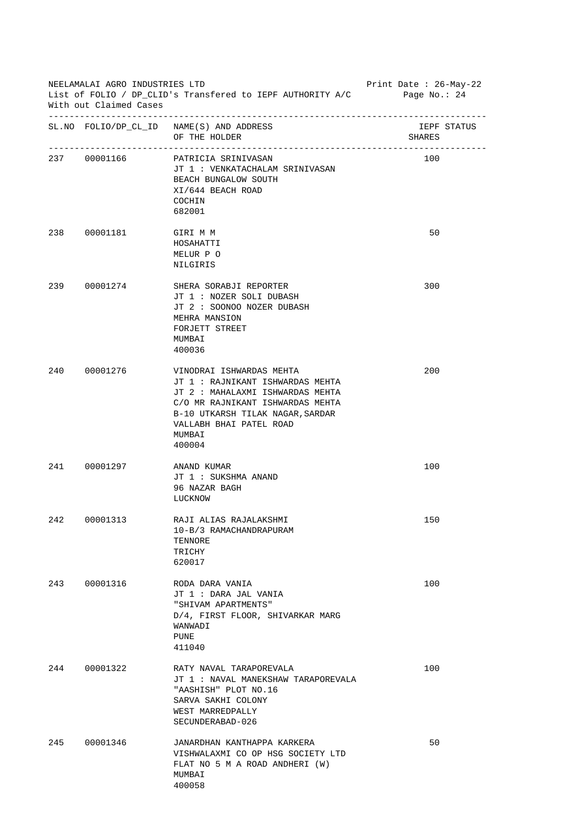| NEELAMALAI AGRO INDUSTRIES LTD<br>List of FOLIO / DP_CLID's Transfered to IEPF AUTHORITY A/C Page No.: 24<br>With out Claimed Cases |                         |                                                                                                                                                                                                                         | Print Date : $26-May-22$ |
|-------------------------------------------------------------------------------------------------------------------------------------|-------------------------|-------------------------------------------------------------------------------------------------------------------------------------------------------------------------------------------------------------------------|--------------------------|
|                                                                                                                                     |                         | SL. NO FOLIO/DP_CL_ID NAME(S) AND ADDRESS<br>OF THE HOLDER                                                                                                                                                              | IEPF STATUS<br>SHARES    |
|                                                                                                                                     | 237 00001166            | PATRICIA SRINIVASAN<br>JT 1 : VENKATACHALAM SRINIVASAN<br>BEACH BUNGALOW SOUTH<br>XI/644 BEACH ROAD<br>COCHIN<br>682001                                                                                                 | 100                      |
|                                                                                                                                     | 238  00001181  GIRI M M | HOSAHATTI<br>MELUR P O<br>NILGIRIS                                                                                                                                                                                      | 50                       |
|                                                                                                                                     | 239 00001274            | SHERA SORABJI REPORTER<br>JT 1 : NOZER SOLI DUBASH<br>JT 2 : SOONOO NOZER DUBASH<br>MEHRA MANSION<br>FORJETT STREET<br>MUMBAI<br>400036                                                                                 | 300                      |
|                                                                                                                                     | 240 00001276            | VINODRAI ISHWARDAS MEHTA<br>JT 1 : RAJNIKANT ISHWARDAS MEHTA<br>JT 2 : MAHALAXMI ISHWARDAS MEHTA<br>C/O MR RAJNIKANT ISHWARDAS MEHTA<br>B-10 UTKARSH TILAK NAGAR, SARDAR<br>VALLABH BHAI PATEL ROAD<br>MUMBAI<br>400004 | 200                      |
|                                                                                                                                     | 241 00001297            | ANAND KUMAR<br>JT 1 : SUKSHMA ANAND<br>96 NAZAR BAGH<br>LUCKNOW                                                                                                                                                         | 100                      |
| 242                                                                                                                                 | 00001313                | RAJI ALIAS RAJALAKSHMI<br>10-B/3 RAMACHANDRAPURAM<br>TENNORE<br>TRICHY<br>620017                                                                                                                                        | 150                      |
| 243                                                                                                                                 | 00001316                | RODA DARA VANIA<br>JT 1 : DARA JAL VANIA<br>"SHIVAM APARTMENTS"<br>D/4, FIRST FLOOR, SHIVARKAR MARG<br>WANWADI<br><b>PUNE</b><br>411040                                                                                 | 100                      |
| 244                                                                                                                                 | 00001322                | RATY NAVAL TARAPOREVALA<br>JT 1: NAVAL MANEKSHAW TARAPOREVALA<br>"AASHISH" PLOT NO.16<br>SARVA SAKHI COLONY<br>WEST MARREDPALLY<br>SECUNDERABAD-026                                                                     | 100                      |
| 245                                                                                                                                 | 00001346                | JANARDHAN KANTHAPPA KARKERA<br>VISHWALAXMI CO OP HSG SOCIETY LTD<br>FLAT NO 5 M A ROAD ANDHERI (W)<br>MUMBAI<br>400058                                                                                                  | 50                       |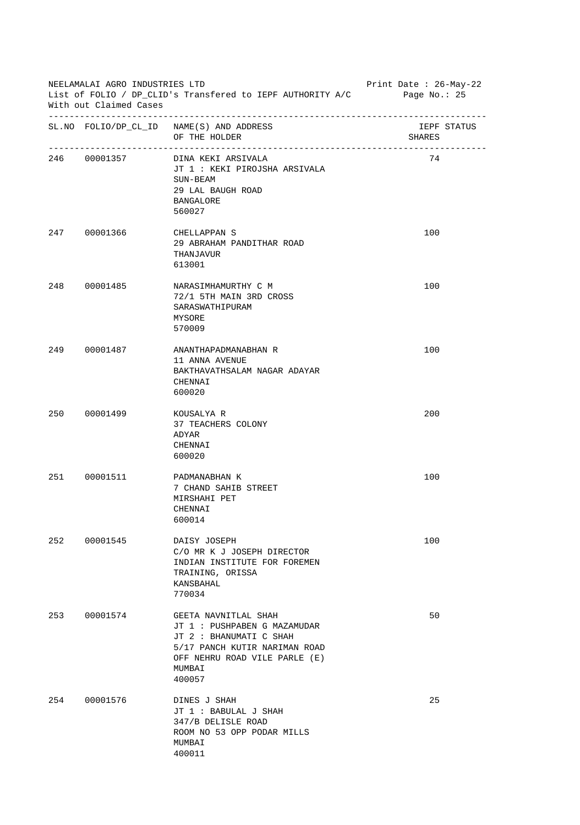| NEELAMALAI AGRO INDUSTRIES LTD<br>List of FOLIO / DP_CLID's Transfered to IEPF AUTHORITY A/C<br>With out Claimed Cases |              |                                                                                                                                                                       | Print Date : 26-May-22<br>Page No.: $25$ |
|------------------------------------------------------------------------------------------------------------------------|--------------|-----------------------------------------------------------------------------------------------------------------------------------------------------------------------|------------------------------------------|
|                                                                                                                        |              | SL. NO FOLIO/DP_CL_ID NAME(S) AND ADDRESS<br>OF THE HOLDER                                                                                                            | IEPF STATUS<br>SHARES                    |
|                                                                                                                        |              | 246 00001357 DINA KEKI ARSIVALA<br>JT 1 : KEKI PIROJSHA ARSIVALA<br>SUN-BEAM<br>29 LAL BAUGH ROAD<br><b>BANGALORE</b><br>560027                                       | 74                                       |
|                                                                                                                        | 247 00001366 | CHELLAPPAN S<br>29 ABRAHAM PANDITHAR ROAD<br>THANJAVUR<br>613001                                                                                                      | 100                                      |
| 248                                                                                                                    | 00001485     | NARASIMHAMURTHY C M<br>72/1 5TH MAIN 3RD CROSS<br>SARASWATHIPURAM<br>MYSORE<br>570009                                                                                 | 100                                      |
|                                                                                                                        | 249 00001487 | ANANTHAPADMANABHAN R<br>11 ANNA AVENUE<br>BAKTHAVATHSALAM NAGAR ADAYAR<br>CHENNAI<br>600020                                                                           | 100                                      |
|                                                                                                                        | 250 00001499 | KOUSALYA R<br>37 TEACHERS COLONY<br>ADYAR<br>CHENNAI<br>600020                                                                                                        | 200                                      |
| 251                                                                                                                    | 00001511     | PADMANABHAN K<br>7 CHAND SAHIB STREET<br>MIRSHAHI PET<br>CHENNAI<br>600014                                                                                            | 100                                      |
| 252                                                                                                                    | 00001545     | DAISY JOSEPH<br>C/O MR K J JOSEPH DIRECTOR<br>INDIAN INSTITUTE FOR FOREMEN<br>TRAINING, ORISSA<br>KANSBAHAL<br>770034                                                 | 100                                      |
| 253                                                                                                                    | 00001574     | GEETA NAVNITLAL SHAH<br>JT 1 : PUSHPABEN G MAZAMUDAR<br>JT 2 : BHANUMATI C SHAH<br>5/17 PANCH KUTIR NARIMAN ROAD<br>OFF NEHRU ROAD VILE PARLE (E)<br>MUMBAI<br>400057 | 50                                       |
| 254                                                                                                                    | 00001576     | DINES J SHAH<br>JT 1 : BABULAL J SHAH<br>347/B DELISLE ROAD<br>ROOM NO 53 OPP PODAR MILLS<br>MUMBAI<br>400011                                                         | 25                                       |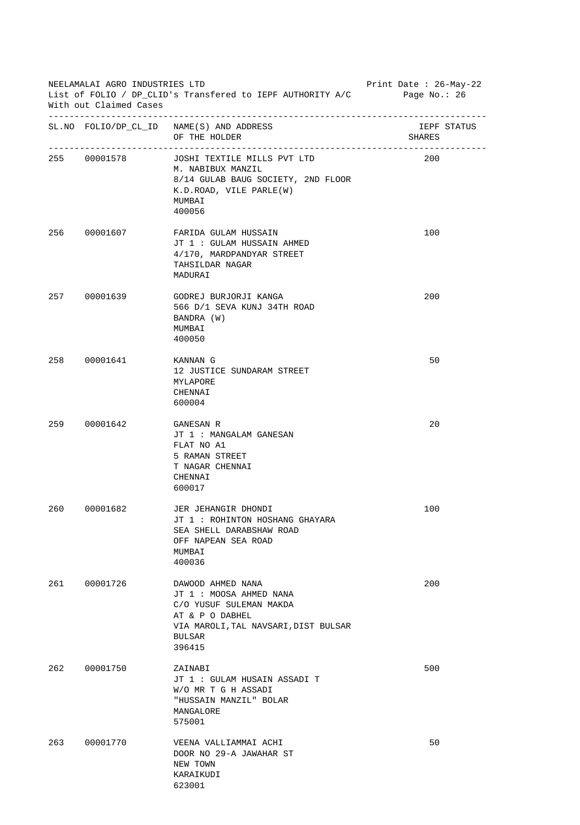| NEELAMALAI AGRO INDUSTRIES LTD<br>List of FOLIO / DP_CLID's Transfered to IEPF AUTHORITY A/C<br>With out Claimed Cases |              |                                                                                                                                                               | Print Date : 26-May-22<br>Page No.: 26 |
|------------------------------------------------------------------------------------------------------------------------|--------------|---------------------------------------------------------------------------------------------------------------------------------------------------------------|----------------------------------------|
|                                                                                                                        |              | SL. NO FOLIO/DP_CL_ID NAME(S) AND ADDRESS<br>OF THE HOLDER                                                                                                    | IEPF STATUS<br>SHARES                  |
|                                                                                                                        | 255 00001578 | JOSHI TEXTILE MILLS PVT LTD<br>M. NABIBUX MANZIL<br>8/14 GULAB BAUG SOCIETY, 2ND FLOOR<br>K.D.ROAD, VILE PARLE(W)<br>MUMBAI<br>400056                         | 200                                    |
|                                                                                                                        | 256 00001607 | FARIDA GULAM HUSSAIN<br>JT 1 : GULAM HUSSAIN AHMED<br>4/170, MARDPANDYAR STREET<br>TAHSILDAR NAGAR<br>MADURAI                                                 | 100                                    |
|                                                                                                                        | 257 00001639 | GODREJ BURJORJI KANGA<br>566 D/1 SEVA KUNJ 34TH ROAD<br>BANDRA (W)<br>MUMBAI<br>400050                                                                        | 200                                    |
|                                                                                                                        | 258 00001641 | KANNAN G<br>12 JUSTICE SUNDARAM STREET<br>MYLAPORE<br>CHENNAI<br>600004                                                                                       | 50                                     |
|                                                                                                                        | 259 00001642 | GANESAN R<br>JT 1 : MANGALAM GANESAN<br>FLAT NO A1<br>5 RAMAN STREET<br>T NAGAR CHENNAI<br>CHENNAI<br>600017                                                  | 20                                     |
| 260                                                                                                                    | 00001682     | JER JEHANGIR DHONDI<br>JT 1: ROHINTON HOSHANG GHAYARA<br>SEA SHELL DARABSHAW ROAD<br>OFF NAPEAN SEA ROAD<br>MUMBAI<br>400036                                  | 100                                    |
| 261                                                                                                                    | 00001726     | DAWOOD AHMED NANA<br>JT 1 : MOOSA AHMED NANA<br>C/O YUSUF SULEMAN MAKDA<br>AT & P O DABHEL<br>VIA MAROLI, TAL NAVSARI, DIST BULSAR<br><b>BULSAR</b><br>396415 | 200                                    |
| 262                                                                                                                    | 00001750     | ZAINABI<br>JT 1 : GULAM HUSAIN ASSADI T<br>W/O MR T G H ASSADI<br>"HUSSAIN MANZIL" BOLAR<br>MANGALORE<br>575001                                               | 500                                    |
| 263                                                                                                                    | 00001770     | VEENA VALLIAMMAI ACHI<br>DOOR NO 29-A JAWAHAR ST<br>NEW TOWN<br>KARAIKUDI<br>623001                                                                           | 50                                     |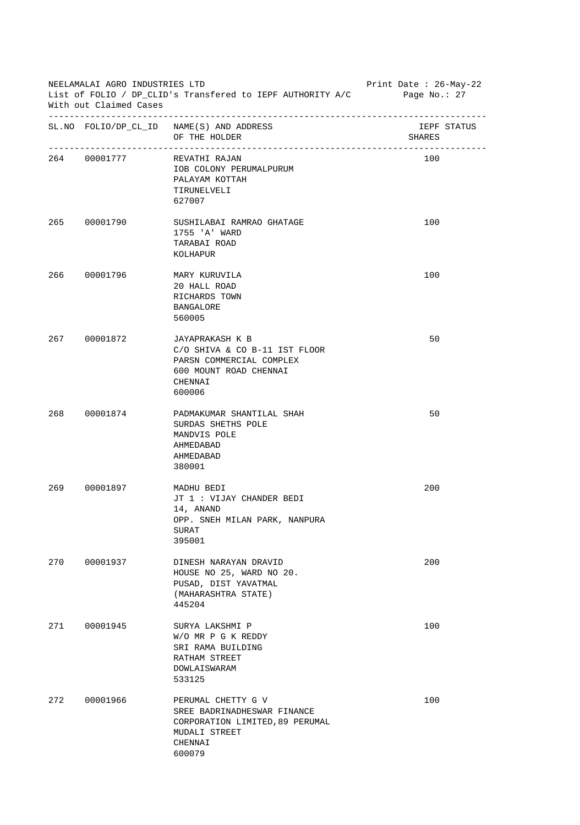| NEELAMALAI AGRO INDUSTRIES LTD<br>List of FOLIO / DP_CLID's Transfered to IEPF AUTHORITY A/C Page No.: 27<br>With out Claimed Cases |                            |                                                                                                                             | Print Date : 26-May-22 |
|-------------------------------------------------------------------------------------------------------------------------------------|----------------------------|-----------------------------------------------------------------------------------------------------------------------------|------------------------|
|                                                                                                                                     |                            | SL. NO FOLIO/DP_CL_ID NAME(S) AND ADDRESS<br>OF THE HOLDER                                                                  | IEPF STATUS<br>SHARES  |
|                                                                                                                                     | 264 00001777 REVATHI RAJAN | IOB COLONY PERUMALPURUM<br>PALAYAM KOTTAH<br>TIRUNELVELI<br>627007                                                          | 100                    |
|                                                                                                                                     | 265 00001790               | SUSHILABAI RAMRAO GHATAGE<br>1755 'A' WARD<br>TARABAI ROAD<br>KOLHAPUR                                                      | 100                    |
|                                                                                                                                     | 266 00001796               | MARY KURUVILA<br>20 HALL ROAD<br>RICHARDS TOWN<br><b>BANGALORE</b><br>560005                                                | 100                    |
|                                                                                                                                     | 267 00001872               | JAYAPRAKASH K B<br>C/O SHIVA & CO B-11 IST FLOOR<br>PARSN COMMERCIAL COMPLEX<br>600 MOUNT ROAD CHENNAI<br>CHENNAI<br>600006 | 50                     |
|                                                                                                                                     | 268 00001874               | PADMAKUMAR SHANTILAL SHAH<br>SURDAS SHETHS POLE<br>MANDVIS POLE<br>AHMEDABAD<br>AHMEDABAD<br>380001                         | 50                     |
| 269                                                                                                                                 | 00001897                   | MADHU BEDI<br>JT 1 : VIJAY CHANDER BEDI<br>14, ANAND<br>OPP. SNEH MILAN PARK, NANPURA<br>SURAT<br>395001                    | 200                    |
| 270                                                                                                                                 | 00001937                   | DINESH NARAYAN DRAVID<br>HOUSE NO 25, WARD NO 20.<br>PUSAD, DIST YAVATMAL<br>(MAHARASHTRA STATE)<br>445204                  | 200                    |
| 271                                                                                                                                 | 00001945                   | SURYA LAKSHMI P<br>W/O MR P G K REDDY<br>SRI RAMA BUILDING<br>RATHAM STREET<br>DOWLAISWARAM<br>533125                       | 100                    |
| 272                                                                                                                                 | 00001966                   | PERUMAL CHETTY G V<br>SREE BADRINADHESWAR FINANCE<br>CORPORATION LIMITED, 89 PERUMAL<br>MUDALI STREET<br>CHENNAI<br>600079  | 100                    |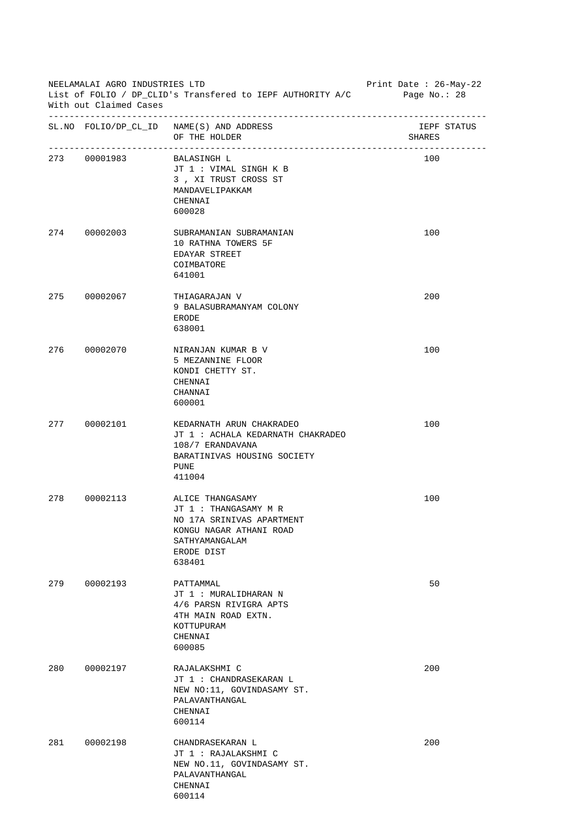| NEELAMALAI AGRO INDUSTRIES LTD<br>List of FOLIO / DP_CLID's Transfered to IEPF AUTHORITY A/C<br>With out Claimed Cases |                          |                                                                                                                                             | Print Date: 26-May-22<br>Page No.: $28$ |
|------------------------------------------------------------------------------------------------------------------------|--------------------------|---------------------------------------------------------------------------------------------------------------------------------------------|-----------------------------------------|
|                                                                                                                        |                          | SL. NO FOLIO/DP_CL_ID NAME(S) AND ADDRESS<br>OF THE HOLDER                                                                                  | IEPF STATUS<br>SHARES                   |
|                                                                                                                        | 273 00001983 BALASINGH L | JT 1 : VIMAL SINGH K B<br>3, XI TRUST CROSS ST<br>MANDAVELIPAKKAM<br>CHENNAI<br>600028                                                      | 100                                     |
|                                                                                                                        | 274 00002003             | SUBRAMANIAN SUBRAMANIAN<br>10 RATHNA TOWERS 5F<br>EDAYAR STREET<br>COIMBATORE<br>641001                                                     | 100                                     |
|                                                                                                                        | 275 00002067             | THIAGARAJAN V<br>9 BALASUBRAMANYAM COLONY<br>ERODE<br>638001                                                                                | 200                                     |
|                                                                                                                        | 276 00002070             | NIRANJAN KUMAR B V<br>5 MEZANNINE FLOOR<br>KONDI CHETTY ST.<br>CHENNAI<br>CHANNAI<br>600001                                                 | 100                                     |
|                                                                                                                        | 277 00002101             | KEDARNATH ARUN CHAKRADEO<br>JT 1 : ACHALA KEDARNATH CHAKRADEO<br>108/7 ERANDAVANA<br>BARATINIVAS HOUSING SOCIETY<br><b>PUNE</b><br>411004   | 100                                     |
| 278                                                                                                                    | 00002113                 | ALICE THANGASAMY<br>JT 1 : THANGASAMY M R<br>NO 17A SRINIVAS APARTMENT<br>KONGU NAGAR ATHANI ROAD<br>SATHYAMANGALAM<br>ERODE DIST<br>638401 | 100                                     |
| 279                                                                                                                    | 00002193                 | PATTAMMAL<br>JT 1 : MURALIDHARAN N<br>4/6 PARSN RIVIGRA APTS<br>4TH MAIN ROAD EXTN.<br>KOTTUPURAM<br>CHENNAI<br>600085                      | 50                                      |
| 280                                                                                                                    | 00002197                 | RAJALAKSHMI C<br>JT 1 : CHANDRASEKARAN L<br>NEW NO:11, GOVINDASAMY ST.<br>PALAVANTHANGAL<br>CHENNAI<br>600114                               | 200                                     |
| 281                                                                                                                    | 00002198                 | CHANDRASEKARAN L<br>JT 1 : RAJALAKSHMI C<br>NEW NO.11, GOVINDASAMY ST.<br>PALAVANTHANGAL<br>CHENNAI<br>600114                               | 200                                     |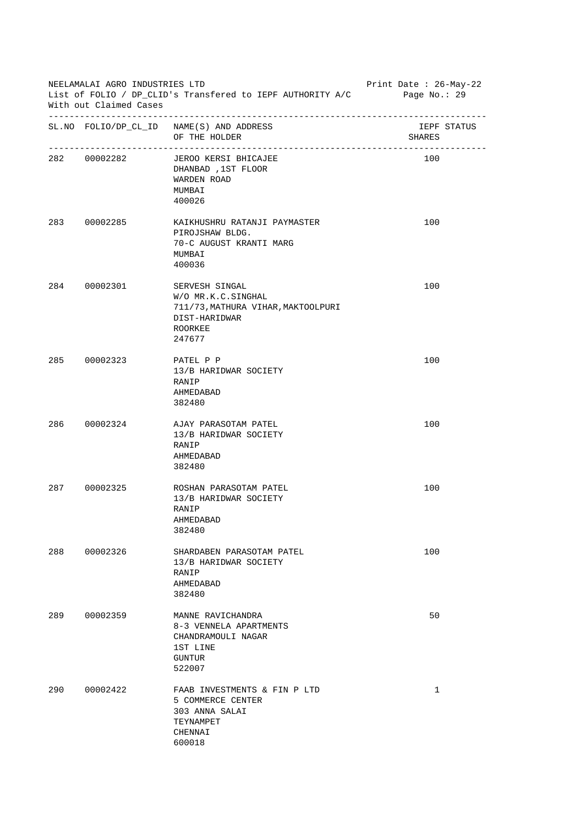| NEELAMALAI AGRO INDUSTRIES LTD<br>List of FOLIO / DP_CLID's Transfered to IEPF AUTHORITY A/C<br>With out Claimed Cases |              |                                                                                                                  | Print Date : 26-May-22<br>Page No.: 29 |
|------------------------------------------------------------------------------------------------------------------------|--------------|------------------------------------------------------------------------------------------------------------------|----------------------------------------|
|                                                                                                                        |              | SL. NO FOLIO/DP_CL_ID NAME(S) AND ADDRESS<br>OF THE HOLDER                                                       | IEPF STATUS<br>SHARES                  |
|                                                                                                                        | 282 00002282 | JEROO KERSI BHICAJEE<br>DHANBAD, 1ST FLOOR<br>WARDEN ROAD<br>MUMBAI<br>400026                                    | 100                                    |
|                                                                                                                        | 283 00002285 | KAIKHUSHRU RATANJI PAYMASTER<br>PIROJSHAW BLDG.<br>70-C AUGUST KRANTI MARG<br>MUMBAI<br>400036                   | 100                                    |
|                                                                                                                        | 284 00002301 | SERVESH SINGAL<br>W/O MR.K.C.SINGHAL<br>711/73, MATHURA VIHAR, MAKTOOLPURI<br>DIST-HARIDWAR<br>ROORKEE<br>247677 | 100                                    |
|                                                                                                                        | 285 00002323 | PATEL P P<br>13/B HARIDWAR SOCIETY<br>RANIP<br>AHMEDABAD<br>382480                                               | 100                                    |
|                                                                                                                        | 286 00002324 | AJAY PARASOTAM PATEL<br>13/B HARIDWAR SOCIETY<br>RANIP<br>AHMEDABAD<br>382480                                    | 100                                    |
| 287                                                                                                                    | 00002325     | ROSHAN PARASOTAM PATEL<br>13/B HARIDWAR SOCIETY<br>RANIP<br>AHMEDABAD<br>382480                                  | 100                                    |
| 288                                                                                                                    | 00002326     | SHARDABEN PARASOTAM PATEL<br>13/B HARIDWAR SOCIETY<br>RANIP<br>AHMEDABAD<br>382480                               | 100                                    |
| 289                                                                                                                    | 00002359     | MANNE RAVICHANDRA<br>8-3 VENNELA APARTMENTS<br>CHANDRAMOULI NAGAR<br>1ST LINE<br><b>GUNTUR</b><br>522007         | 50                                     |
| 290                                                                                                                    | 00002422     | FAAB INVESTMENTS & FIN P LTD<br>5 COMMERCE CENTER<br>303 ANNA SALAI<br>TEYNAMPET<br>CHENNAI<br>600018            | 1                                      |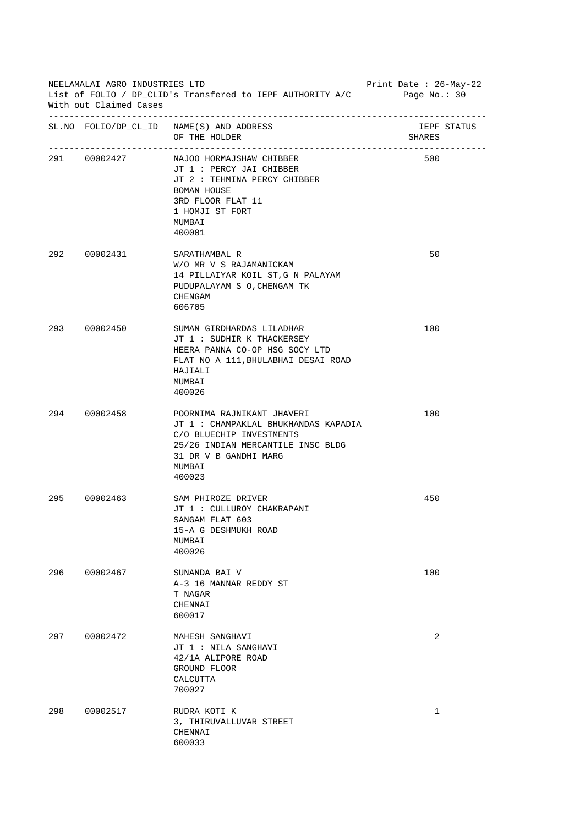| NEELAMALAI AGRO INDUSTRIES LTD<br>List of FOLIO / DP_CLID's Transfered to IEPF AUTHORITY A/C<br>With out Claimed Cases |              |                                                                                                                                                                                  | Print Date : $26$ -May-22<br>Page No.: $30$ |
|------------------------------------------------------------------------------------------------------------------------|--------------|----------------------------------------------------------------------------------------------------------------------------------------------------------------------------------|---------------------------------------------|
|                                                                                                                        |              | SL. NO FOLIO/DP_CL_ID NAME(S) AND ADDRESS<br>OF THE HOLDER                                                                                                                       | IEPF STATUS<br>SHARES                       |
|                                                                                                                        | 291 00002427 | NAJOO HORMAJSHAW CHIBBER<br>JT 1 : PERCY JAI CHIBBER<br>JT 2 : TEHMINA PERCY CHIBBER<br>BOMAN HOUSE<br>3RD FLOOR FLAT 11<br>1 HOMJI ST FORT<br>MUMBAI<br>400001                  | 500                                         |
|                                                                                                                        | 292 00002431 | SARATHAMBAL R<br>W/O MR V S RAJAMANICKAM<br>14 PILLAIYAR KOIL ST, G N PALAYAM<br>PUDUPALAYAM S O, CHENGAM TK<br>CHENGAM<br>606705                                                | 50                                          |
|                                                                                                                        | 293 00002450 | SUMAN GIRDHARDAS LILADHAR<br>JT 1: SUDHIR K THACKERSEY<br>HEERA PANNA CO-OP HSG SOCY LTD<br>FLAT NO A 111, BHULABHAI DESAI ROAD<br>HAJIALI<br>MUMBAI<br>400026                   | 100                                         |
|                                                                                                                        | 294 00002458 | POORNIMA RAJNIKANT JHAVERI<br>JT 1 : CHAMPAKLAL BHUKHANDAS KAPADIA<br>C/O BLUECHIP INVESTMENTS<br>25/26 INDIAN MERCANTILE INSC BLDG<br>31 DR V B GANDHI MARG<br>MUMBAI<br>400023 | 100                                         |
| 295                                                                                                                    | 00002463     | SAM PHIROZE DRIVER<br>JT 1 : CULLUROY CHAKRAPANI<br>SANGAM FLAT 603<br>15-A G DESHMUKH ROAD<br>MUMBAI<br>400026                                                                  | 450                                         |
| 296                                                                                                                    | 00002467     | SUNANDA BAI V<br>A-3 16 MANNAR REDDY ST<br>T NAGAR<br>CHENNAI<br>600017                                                                                                          | 100                                         |
| 297                                                                                                                    | 00002472     | MAHESH SANGHAVI<br>JT 1 : NILA SANGHAVI<br>42/1A ALIPORE ROAD<br>GROUND FLOOR<br>CALCUTTA<br>700027                                                                              | 2                                           |
| 298                                                                                                                    | 00002517     | RUDRA KOTI K<br>3, THIRUVALLUVAR STREET<br>CHENNAI<br>600033                                                                                                                     | 1                                           |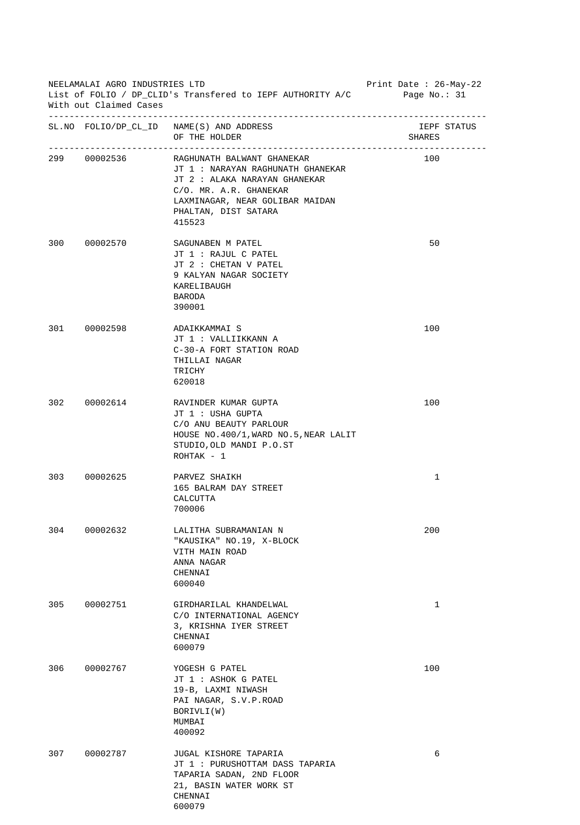| NEELAMALAI AGRO INDUSTRIES LTD<br>List of FOLIO / DP_CLID's Transfered to IEPF AUTHORITY A/C Page No.: 31<br>With out Claimed Cases |              |                                                                                                                                                                                                | Print Date : 26-May-22 |
|-------------------------------------------------------------------------------------------------------------------------------------|--------------|------------------------------------------------------------------------------------------------------------------------------------------------------------------------------------------------|------------------------|
|                                                                                                                                     |              | SL. NO FOLIO/DP_CL_ID NAME(S) AND ADDRESS<br>OF THE HOLDER                                                                                                                                     | IEPF STATUS<br>SHARES  |
|                                                                                                                                     | 299 00002536 | RAGHUNATH BALWANT GHANEKAR<br>JT 1: NARAYAN RAGHUNATH GHANEKAR<br>JT 2 : ALAKA NARAYAN GHANEKAR<br>C/O. MR. A.R. GHANEKAR<br>LAXMINAGAR, NEAR GOLIBAR MAIDAN<br>PHALTAN, DIST SATARA<br>415523 | 100                    |
|                                                                                                                                     | 300 00002570 | SAGUNABEN M PATEL<br>JT 1 : RAJUL C PATEL<br>JT 2 : CHETAN V PATEL<br>9 KALYAN NAGAR SOCIETY<br>KARELIBAUGH<br>BARODA<br>390001                                                                | 50                     |
|                                                                                                                                     | 301 00002598 | ADAIKKAMMAI S<br>JT 1 : VALLIIKKANN A<br>C-30-A FORT STATION ROAD<br>THILLAI NAGAR<br>TRICHY<br>620018                                                                                         | 100                    |
|                                                                                                                                     | 302 00002614 | RAVINDER KUMAR GUPTA<br>JT 1 : USHA GUPTA<br>C/O ANU BEAUTY PARLOUR<br>HOUSE NO. 400/1, WARD NO. 5, NEAR LALIT<br>STUDIO, OLD MANDI P.O.ST<br>$ROHTAK - 1$                                     | 100                    |
|                                                                                                                                     | 303 00002625 | PARVEZ SHAIKH<br>165 BALRAM DAY STREET<br>CALCUTTA<br>700006                                                                                                                                   | 1                      |
| 304                                                                                                                                 | 00002632     | LALITHA SUBRAMANIAN N<br>"KAUSIKA" NO.19, X-BLOCK<br>VITH MAIN ROAD<br>ANNA NAGAR<br>CHENNAI<br>600040                                                                                         | 200                    |
| 305                                                                                                                                 | 00002751     | GIRDHARILAL KHANDELWAL<br>C/O INTERNATIONAL AGENCY<br>3, KRISHNA IYER STREET<br>CHENNAI<br>600079                                                                                              | $\mathbf{1}$           |
| 306                                                                                                                                 | 00002767     | YOGESH G PATEL<br>JT 1 : ASHOK G PATEL<br>19-B, LAXMI NIWASH<br>PAI NAGAR, S.V.P.ROAD<br>BORIVLI(W)<br>MUMBAI<br>400092                                                                        | 100                    |
| 307                                                                                                                                 | 00002787     | JUGAL KISHORE TAPARIA<br>JT 1: PURUSHOTTAM DASS TAPARIA<br>TAPARIA SADAN, 2ND FLOOR<br>21, BASIN WATER WORK ST<br>CHENNAI<br>600079                                                            | 6                      |